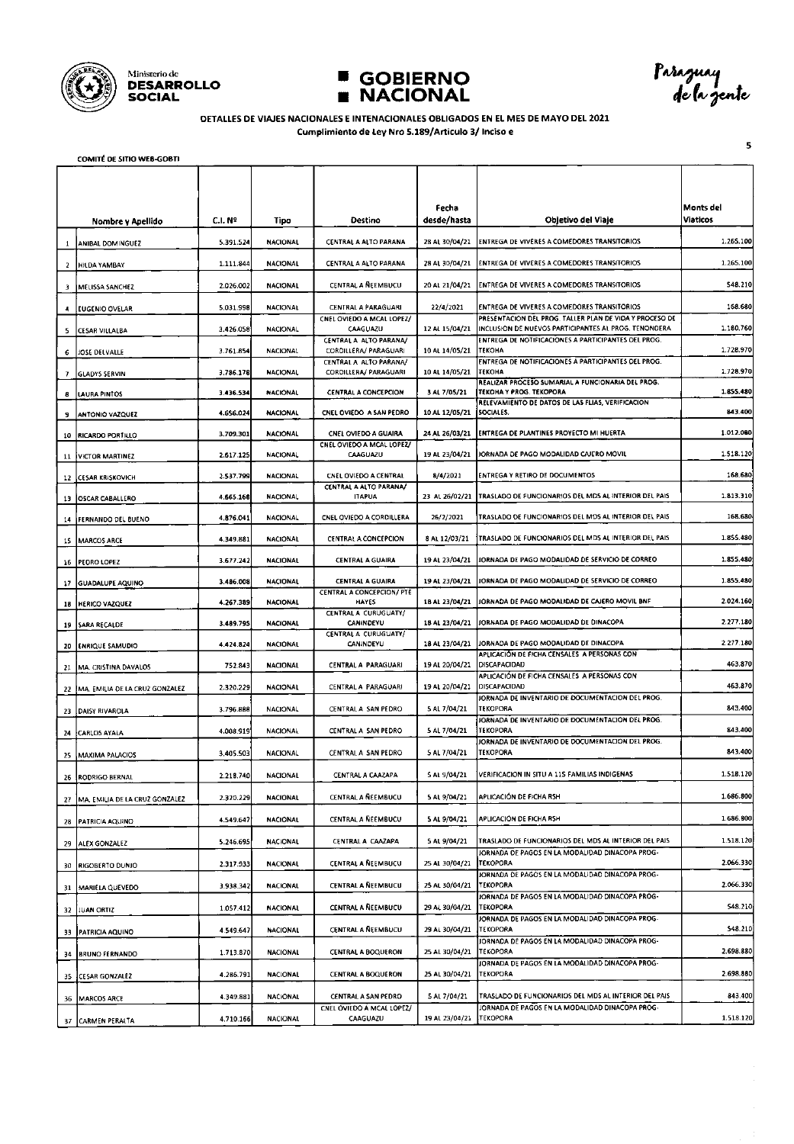





Paraguay<br>de la gente

 $\overline{\mathbf{5}}$ 

#### DETALLES DE VIAJES NACIONALES E INTENACIONALES OBLIGADOS EN EL MES DE MAYO DEL 2021 Cumplimiento de Ley Nro 5.189/Articulo 3/ Inciso e

**COMITÉ DE SITIO WEB-GOBTI** 

|              | Nombre y Apellido                 | C.I. Nº   | Tipo            | Destino                                              | Fecha<br>desde/hasta | Objetivo del Vlaje                                                                                                 | Monts del<br>Viaticos |
|--------------|-----------------------------------|-----------|-----------------|------------------------------------------------------|----------------------|--------------------------------------------------------------------------------------------------------------------|-----------------------|
| $\mathbf{1}$ | ANIBAL DOMINGUEZ                  | 5.391.524 | <b>NACIONAL</b> | CENTRAL A ALTO PARANA                                | 28 AL 30/04/21       | ENTREGA DE VIVERES A COMEDORES TRANSITORIOS                                                                        | 1.265.100             |
|              | 2 HILDA YAMBAY                    | 1.111.844 | <b>NACIONAL</b> | CENTRAL A ALTO PARANA                                | 28 AL 30/04/21       | <b>ENTREGA DE VIVERES A COMEDORES TRANSITORIOS</b>                                                                 | 1.265.100             |
|              | MELISSA SANCHEZ                   | 2.026.002 | <b>NACIONAL</b> | CENTRAL A NEEMBUCU                                   | 20 AL 21/04/21       | ENTREGA DE VIVERES A COMEDORES TRANSITORIOS                                                                        | 548.210               |
| 4            | EUGENIO OVELAR                    | 5.031.998 | <b>NACIONAL</b> | CENTRAL A PARAGUARI                                  | 22/4/2021            | ENTREGA DE VIVERES A COMEDORES TRANSITORIOS                                                                        | 168.680               |
| 5            | <b>CESAR VILLALBA</b>             | 3.426.058 | <b>NACIONAL</b> | CNEL OVIEDO A MCAL LOPEZ/<br>CAAGUAZU                | 12 AL 15/04/21       | PRESENTACION DEL PROG. TALLER PLAN DE VIDA Y PROCESO DE<br>INCLUSION DE NUEVOS PARTICIPANTES AL PROG. TENONDERA    | 1.180.760             |
| 6            | <b>JOSE DELVALLE</b>              | 3.761.854 | <b>NACIONAL</b> | CENTRAL A ALTO PARANA/<br>CORDILLERA/ PARAGUARI      | 10 AL 14/05/21       | ENTREGA DE NOTIFICACIONES A PARTICIPANTES DEL PROG.<br>TEKOHA                                                      | 1.728.970             |
| 7            | <b>GLADYS SERVIN</b>              | 3.786.178 | <b>NACIONAL</b> | CENTRAL A ALTO PARANA/<br>CORDILLERA/ PARAGUARI      | 10 AL 14/05/21       | ENTREGA DE NOTIFICACIONES A PARTICIPANTES DEL PROG.<br>TEKOHA<br>REALIZAR PROCESO SUMARIAL A FUNCIONARIA DEL PROG. | 1.728.970             |
| 8            | LAURA PINTOS                      | 3.436.534 | NACIONAL        | CENTRAL A CONCEPCION                                 | 3 AL 7/05/21         | TEKOHA Y PROG. TEKOPORA<br>RELEVAMIENTO DE DATOS DE LAS FLIAS, VERIFICACION                                        | 1.855.480             |
|              | <b>ANTONIO VAZQUEZ</b>            | 4.656.024 | <b>NACIONAL</b> | CNEL OVIEDO A SAN PEDRO                              | 10 AL 12/05/21       | <b>SOCIALES.</b>                                                                                                   | 843.400               |
|              | 10 RICARDO PORTILLO               | 3.709.301 | <b>NACIONAL</b> | CNEL OVIEDO A GUAIRA<br>CNEL OVIEDO A MCAL LOPEZ/    | 24 AL 26/03/21       | ENTREGA DE PLANTINES PROYECTO MI HUERTA                                                                            | 1.012.000             |
|              | 11 VICTOR MARTINEZ                | 2.617.125 | NACIONAL        | CAAGUAZU                                             | 19 AL 23/04/21       | JORNADA DE PAGO MODALIDAD CAJERO MOVIL                                                                             | 1.518.120             |
| 12           | <b>CESAR KRISKOVICH</b>           | 2.537.799 | <b>NACIONAL</b> | CNEL OVIEDO A CENTRAL<br>CENTRAL A ALTO PARANA/      | 8/4/2021             | ENTREGA Y RETIRO DE DOCUMENTOS                                                                                     | 168.680               |
|              | 13 OSCAR CABALLERO                | 4.665.168 | <b>NACIONAL</b> | <b>ITAFUA</b>                                        | 23 AL 26/02/21       | TRASLADO DE FUNCIONARIOS DEL MDS AL INTERIOR DEL PAIS                                                              | 1.813.310             |
|              | 14 FERNANDO DEL BUENO             | 4.876.041 | <b>NACIONAL</b> | CNEL OVIEDO A CORDILLERA                             | 26/2/2021            | TRASLADO DE FUNCIONARIOS DEL MOS AL INTERIOR DEL PAIS                                                              | 168.680               |
|              | 15 MARCOS ARCE                    | 4.349.881 | <b>NACIONAL</b> | CENTRAL A CONCEPCION                                 | 8 AL 12/03/21        | TRASLADO DE FUNCIONARIOS DEL MDS AL INTERIOR DEL PAIS                                                              | 1.855.480             |
|              | 16 PEORO LOPEZ                    | 3.677.242 | NACIONAL        | <b>CENTRAL A GUAIRA</b>                              | 19 AL 23/04/21       | JORNADA DE PAGO MODALIDAD DE SERVICIO DE CORREO                                                                    | 1.855.480             |
|              | 17 GUADALUPE AQUINO               | 3.486.008 | NACIONAL        | <b>CENTRAL A GUAIRA</b><br>CENTRAL A CONCEPCION/ PTE | 19 AL 23/04/21       | JORNADA DE PAGO MODALIDAD DE SERVICIO DE CORREO                                                                    | 1.855.480             |
| 18           | <b>HERICO VAZQUEZ</b>             | 4.267.389 | NACIONAL        | HAYES                                                | 18 AL 23/04/21       | JORNADA DE PAGO MODALIDAD DE CAJERO MOVIL BNF                                                                      | 2.024.160             |
|              | 19 SARA RECALDE                   | 3.489.795 | <b>NACIONAL</b> | CENTRAL A CURUGUATY/<br>CANINDEYU                    | 18 AL 23/04/21       | JORNADA DE PAGO MODALIDAD DE DINACOPA                                                                              | 2.277.180             |
|              | 20 ENRIQUE SAMUDIO                | 4.424.824 | NACIONAL        | CENTRAL A CURUGUATY/<br>CANINDEYU                    | 18 AL 23/04/21       | JORNADA DE PAGO MODALIDAD DE DINACOPA                                                                              | 2.277.180             |
| 21           | MA. CRISTINA DAVALOS              | 752.843   | <b>NACIONAL</b> | CENTRAL A PARAGUARI                                  | 19 AL 20/04/21       | APLICACIÓN DE FICHA CENSALES A PERSONAS CON<br>DISCAPACIDAD                                                        | 463.870               |
|              | 22 MA. EMILIA DE LA CRUZ GONZALEZ | 2.320.229 | NACIONAL        | CENTRAL A PARAGUARI                                  | 19 AL 20/04/21       | APLICACIÓN DE FICHA CENSALES A PERSONAS CON<br>DISCAPACIDAD                                                        | 463.870               |
|              | 23   DAISY RIVAROLA               | 3.796.888 | NACIONAL        | CENTRAL A SAN PEDRO                                  | 5 Al 7/04/21         | JORNADA DE INVENTARIO DE DOCUMENTACION DEL PROG.<br><b>TEKOPORA</b>                                                | 843.400               |
| 24           | CARLOS AYALA                      | 4.008.919 | <b>NACIONAL</b> | CENTRAL A SAN PEDRO                                  | 5 AL 7/04/21         | JORNADA DE INVENTARIO DE DOCUMENTACIÓN DEL PROG.<br>TEKOPORA                                                       | 843.400               |
| 25           | <b>MAXIMA PALACIOS</b>            | 3.405.503 | NACIONAL        | CENTRAL A SAN PEDRO                                  | 5 AL 7/04/21         | JORNADA DE INVENTARIO DE DOCUMENTACIÓN DEL PROG.<br><b>TEKOPORA</b>                                                | 843.400               |
| 26           | RODRIGO BERNAL                    | 2.218.740 | <b>NACIONAL</b> | CENTRAL A CAAZAPA                                    | 5 AL 9/04/21         | VERIFICACION IN SITU A 115 FAMILIAS INDIGENAS                                                                      | 1.518.120             |
|              | 27 MA. EMILIA DE LA CRUZ GONZALEZ | 2.320.229 | NACIONAL        | CENTRAL A ÑEEMBUCU                                   | 5 AL 9/04/21         | APLICACIÓN DE FICHA RSH                                                                                            | 1.686.800             |
| 28           | <b>PATRICIA AQUINO</b>            | 4.549.647 | <b>NACIONAL</b> | CENTRAL A NEEMBUCU                                   | 5 AL 9/04/21         | APLICACIÓN DE FICHA RSH                                                                                            | 1.686.800             |
| 29           | ALEX GONZALEZ                     | 5.246.695 | <b>NACIONAL</b> | CENTRAL A CAAZAPA                                    | 5 AL 9/04/21         | TRASLADO DE FUNCIONARIOS DEL MDS AL INTERIOR DEL PAIS                                                              | 1.518.120             |
| 30           | <b>RIGOBERTO DUNIO</b>            | 2.317.933 | <b>NACIONAL</b> | CENTRAL A NEEMBUCU                                   | 25 AL 30/04/21       | JORNADA DE PAGOS EN LA MODALIDAD DINACOPA PROG-<br>TEKOPORA                                                        | 2.066.330             |
| 31           | MARIELA QUEVEDO                   | 3.938.342 | <b>NACIONAL</b> | CENTRAL A ÑEEMBUCU                                   | 25 AL 30/04/21       | JORNADA DE PAGOS EN LA MODALIDAD DINACOPA PROG-<br>TEKOPORA                                                        | 2.066.330             |
| 32           | <b>JUAN ORTIZ</b>                 | 1.057.412 | <b>NACIONAL</b> | CENTRAL A NEEMBUCU                                   | 29 AL 30/04/21       | JORNADA DE PAGOS EN LA MODALIDAD DINACOPA PROG-<br>TEKOPORA                                                        | 548.210               |
| 33           | <b>PATRICIA AQUINO</b>            | 4.549.647 | <b>NACIONAL</b> | CENTRAL A ÑEEMBUCU                                   | 29 AL 30/04/21       | JORNADA DE PAGOS EN LA MODALIDAD DINACOPA PROG-<br>TEKOPORA                                                        | 548.210               |
| 34           | <b>BRUNO FERNANDO</b>             | 1.713.870 | <b>NACIONAL</b> | CENTRAL A BOQUERON                                   | 25 AL 30/04/21       | JORNADA DE PAGOS EN LA MODALIDAD DINACOPA PROG-<br>TEKOPORA                                                        | 2.698.880             |
| 35           | CESAR GONZALEZ                    | 4.286.791 | <b>NACIONAL</b> | <b>CENTRAL A BOOUERON</b>                            | 25 AL 30/04/21       | JORNADA DE PAGOS EN LA MODALIDAD DINACOPA PROG-<br><b>TEKOPORA</b>                                                 | 2.698.880             |
|              |                                   | 4.349.881 | <b>NACIONAL</b> | CENTRAL A SAN PEDRO                                  | 5 AL 7/04/21         | TRASLADO DE FUNCIONARIOS DEL MDS AL INTERIOR DEL PAIS                                                              | 843.400               |
|              | 36   MARCOS ARCE                  |           | NACIONAL        | CNEL OVIEDO A MCAL LOPEZ/<br>CAAGUAZU                | 19 AL 23/04/21       | <b>JORNADA DE PAGOS EN LA MODALIDAD DINACOPA PROG-</b><br>TEKOPORA                                                 | 1.518.120             |
|              | 37 CARMEN PERALTA                 | 4.710.166 |                 |                                                      |                      |                                                                                                                    |                       |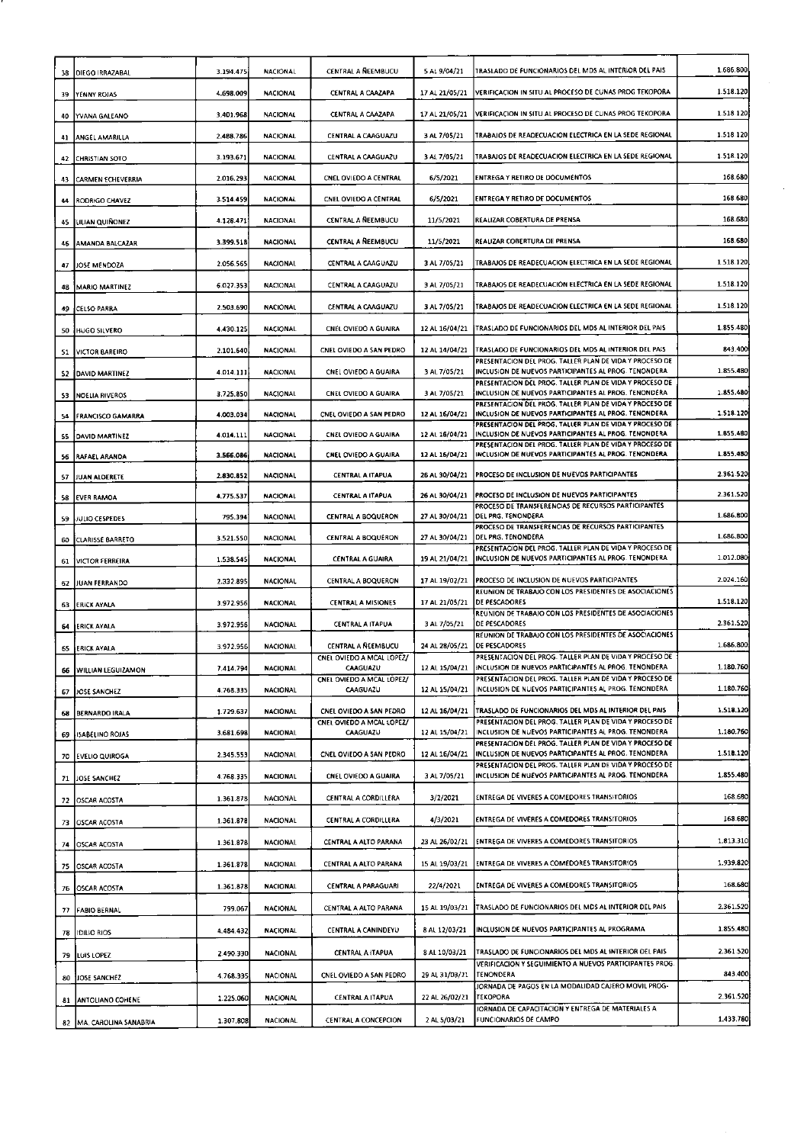| 38 | <b>DIEGO IRRAZABAL</b>     | 3.194.475 | NACIONAL        | CENTRAL A NEEMBUCU                                   | 5 AL 9/04/21   | TRASLADO DE FUNCIONARIOS DEL MDS AL INTERIOR DEL PAIS                                                                                                                      | 1.686.800 |
|----|----------------------------|-----------|-----------------|------------------------------------------------------|----------------|----------------------------------------------------------------------------------------------------------------------------------------------------------------------------|-----------|
| 39 | YENNY ROJAS                | 4.698.009 | <b>NACIONAL</b> | CENTRAL A CAAZAPA                                    | 17 AL 21/05/21 | VERIFICACION IN SITU AL PROCESO DE CUNAS PROG TEKOPORA                                                                                                                     | 1.518.120 |
| 40 | YVANA GALEANO              | 3.401.968 | <b>NACIONAL</b> | CENTRAL A CAAZAPA                                    | 17 AL 21/05/21 | VERIFICACION IN SITU AL PROCESO DE CUNAS PROG TEKOPORA                                                                                                                     | 1.518.120 |
| 41 | ANGEL AMARILLA             | 2.488.786 | <b>NACIONAL</b> | CENTRAL A CAAGUAZU                                   | 3 AL 7/05/21   | TRABAIOS DE READECUACIÓN ELECTRICA EN LA SEDE REGIONAL                                                                                                                     | 1.518.120 |
| 42 | CHRISTIAN SOTO             | 3.193.671 | <b>NACIONAL</b> | CENTRAL A CAAGUAZU                                   | 3 AL 7/05/21   | TRABAIOS DE READECUACION ELECTRICA EN LA SEDE REGIONAL                                                                                                                     | 1.518.120 |
| 43 | <b>CARMEN ECHEVERRIA</b>   | 2.016.293 | <b>NACIONAL</b> | CNEL OVIEDO A CENTRAL                                | 6/5/2021       | ENTREGA Y RETIRO DE DOCUMENTOS                                                                                                                                             | 168.680   |
| 44 | RODRIGO CHAVEZ             | 3.514.459 | <b>NACIONAL</b> | CNEL OVIEDO A CENTRAL                                | 6/5/2021       | ENTREGA Y RETIRO DE DOCUMENTOS                                                                                                                                             | 168.680   |
| 45 | LILIAN QUIÑONEZ            | 4.128.471 | <b>NACIONAL</b> | <b>CENTRAL A NEEMBUCU</b>                            | 11/5/2021      | REALIZAR COBERTURA DE PRENSA                                                                                                                                               | 168.680   |
| 46 | AMANDA BALCAZAR            | 3.399.518 | <b>NACIONAL</b> | <b>CENTRAL A REEMBUCU</b>                            | 11/5/2021      | REALIZAR COBERTURA DE PRENSA                                                                                                                                               | 168.680   |
| 47 | JOSE MENDOZA               | 2.056.565 | NACIONAL        | CENTRAL A CAAGUAZU                                   | 3 AL 7/05/21   | TRABAJOS DE READECUACION ELECTRICA EN LA SEDE REGIONAL                                                                                                                     | 1.518.120 |
| 48 | <b>MARIO MARTINEZ</b>      | 6.027.353 | <b>NACIONAL</b> | CENTRAL A CAAGUAZU                                   | 3 AL 7/05/21   | TRABAJOS DE READECUACIÓN ELECTRICA EN LA SEDE REGIONAL                                                                                                                     | 1.518.120 |
| 49 | CELSO PARRA                | 2.503.690 | <b>NACIONAL</b> | CENTRAL A CAAGUAZU                                   | 3 AL 7/05/21   | TRABAJOS DE READECUACION ELECTRICA EN LA SEDE REGIONAL                                                                                                                     | 1.518.120 |
|    | 50 HUGO SILVERO            | 4.430.125 | <b>NACIONAL</b> | CNEL OVIEDO A GUAIRA                                 | 12 AL 16/04/21 | TRASLADO DE FUNCIONARIOS DEL MDS AL INTERIOR DEL PAIS                                                                                                                      | 1.855.480 |
| 51 | VICTOR BAREIRO             | 2.101.640 | <b>NACIONAL</b> | CNEL OVIEDO A SAN PEDRO                              | 12 AL 14/04/21 | TRASLADO DE FUNCIONARIOS DEL MOS AL INTERIOR DEL PAIS                                                                                                                      | 843.400   |
| 52 | <b>DAVID MARTINEZ</b>      | 4.014.111 | <b>NACIONAL</b> | CNEL OVIEDO A GUAIRA                                 | 3 AL 7/05/21   | PRESENTACION DEL PROG. TALLER PLAN DE VIDA Y PROCESO DE<br>INCLUSION DE NUEVOS PARTICIPANTES AL PROG. TENONDERA                                                            | 1.855.480 |
| 53 | <b>NOELIA RIVEROS</b>      | 3.725.850 | <b>NACIONAL</b> | CNEL OVIEDO A GUAIRA                                 | 3 AL 7/05/21   | PRESENTACIÓN DEL PROG. TALLER PLAN DE VIDA Y PROCESO DE<br>INCLUSION DE NUEVOS PARTICIPANTES AL PROG. TENONDERA                                                            | 1.855.480 |
| 54 | <b>FRANCISCO GAMARRA</b>   | 4.003.034 | <b>NACIONAL</b> | CNEL OVIEDO A SAN PEDRO                              | 12 AL 16/04/21 | PRESENTACION DEL PROG. TALLER PLAN DE VIDA Y PROCESO DE<br>INCLUSION DE NUEVOS PARTICIPANTES AL PROG. TENONDERA<br>PRESENTACION DEL PROG. TALLER PLAN DE VIDA Y PROCESO DE | 1.518.120 |
| 55 | DAVID MARTINEZ             | 4.014.111 | <b>NACIONAL</b> | <b>CNEL OVIEDO A GUAIRA</b>                          | 12 AL 16/04/21 | INCLUSION DE NUEVOS PARTICIPANTES AL PROG. TENONDERA<br>PRESENTACION DEL PROG. TALLER PLAN DE VIDA Y PROCESO DE                                                            | 1.855.480 |
| 56 | RAFAEL ARANDA              | 3.566.086 | NACIONAL        | CNEL OVIEDO A GUAIRA                                 | 12 AL 16/04/21 | INCLUSION DE NUEVOS PARTICIPANTES AL PROG. TENONDERA                                                                                                                       | 1.855.480 |
| 57 | JUAN ALDERETE              | 2.830.852 | <b>NACIONAL</b> | <b>CENTRAL A ITAPUA</b>                              | 26 AL 30/04/21 | PROCESO DE INCLUSION DE NUEVOS PARTICIPANTES                                                                                                                               | 2.361.520 |
| 58 | <b>EVER RAMOA</b>          | 4.775.537 | <b>NACIONAL</b> | <b>CENTRAL A ITAPUA</b>                              | 26 AL 30/04/21 | <b>PROCESO DE INCLUSION DE NUEVOS PARTICIPANTES</b><br>PROCESO DE TRANSFERENCIAS DE RECURSOS PARTICIPANTES                                                                 | 2.361.520 |
| 59 | JULIO CESPEDES             | 795.394   | <b>NACIONAL</b> | <b>CENTRAL A BOQUERON</b>                            | 27 AL 30/04/21 | DEL PRG. TENONDERA<br>PROCESO DE TRANSFERENCIAS DE RECURSOS PARTICIPANTES                                                                                                  | 1.686.800 |
| 60 | <b>CLARISSE BARRETO</b>    | 3.521.550 | <b>NACIONAL</b> | <b>CENTRAL A BOQUERON</b>                            | 27 AL 30/04/21 | DEL PRG. TENONDERA<br>PRESENTACION DEL PROG. TALLER PLAN DE VIDA Y PROCESO DE                                                                                              | 1.686.800 |
| 61 | VICTOR FERREIRA            | 1.538.545 | <b>NACIONAL</b> | <b>CENTRAL A GUAIRA</b>                              | 19 AL 21/04/21 | INCLUSION DE NUEVOS PARTICIPANTES AL PROG. TENONDERA                                                                                                                       | 1.012.080 |
| 62 | JUAN FERRANDO              | 2.332.895 | NACIONAL        | CENTRAL A BOQUERON                                   | 17 AL 19/02/21 | <b>PROCESO DE INCLUSION DE NUEVOS PARTICIPANTES</b><br>REUNION DE TRABAJO CON LOS PRESIDENTES DE ASOCIACIONES                                                              | 2.024.160 |
| 63 | EFICK AYALA                | 3.972.956 | NACIONAL        | <b>CENTRAL A MISIONES</b>                            | 17 AL 21/05/21 | <b>DE PESCADORES</b><br>REUNION DE TRABAJO CON LOS PRESIDENTES DE ASOCIACIONES                                                                                             | 1.518.120 |
| 64 | ERICK AYALA                | 3.972.956 | <b>NACIONAL</b> | CENTRAL A ITAPUA                                     | 3 AL 7/05/21   | <b>DE PESCADORES</b><br>REUNION DE TRABAJO CON LOS PRESIDENTES DE ASOCIACIONES                                                                                             | 2.361.520 |
|    | 65 ERICK AYALA             | 3.972.956 | <b>NACIONAL</b> | CENTRAL A ÑEEMBUCU<br>CNEL OVIEDO A MCAL LOPEZ/      | 24 AL 28/05/21 | <b>DE PESCADORES</b><br>PRESENTACIÓN DEL PROG. TALLER PLAN DE VIDA Y PROCESO DE                                                                                            | 1.686.800 |
| 66 | <b>WILLIAN LEGUIZAMON</b>  | 7.414.794 | NACIONAL        | CAAGUAZU<br>CNEL OVIEDO A MCAL LOPEZ/                | 12 AL 15/04/21 | INCLUSION DE NUEVOS PARTICIPANTES AL PROG. TENONDERA<br>PRESENTACION DEL PROG. TALLER PLAN DE VIDA Y PROCESO DE                                                            | 1.180.760 |
| 67 | JOSE SANCHEZ               | 4.768.335 | <b>NACIONAL</b> | <b>CAAGUAZU</b>                                      | 12 AL 15/04/21 | INCLUSION DE NUEVOS PARTICIPANTES AL PROG. TENONDERA                                                                                                                       | 1.180.760 |
| 68 | <b>BERNARDO IRALA</b>      | 1.729.637 | <b>NACIONAL</b> | CNEL OVIEDO A SAN PEDRO<br>CNEL OVIÉDO A MCAL LOPEZ/ | 12 AL 16/04/21 | TRASLADO DE FUNCIONARIOS DEL MDS AL INTERIOR DEL PAIS<br>PRESENTACIÓN DEL PROG. TALLER PLAN DE VIDA Y PROCESO DE                                                           | 1.518.120 |
|    | 69 ISABELINO ROJAS         | 3.681.698 | NACIONAL        | CAAGUAZU                                             | 12 AL 15/04/21 | INCLUSION DE NUEVOS PARTICIPANTES AL PROG. TENONDERA<br>PRESENTACION DEL PROG. TALLER PLAN DE VIDA Y PROCESO DE                                                            | 1.180.760 |
| 70 | <b>EVELIO QUIROGA</b>      | 2.345.553 | NACIONAL        | CNEL OVIEDO A SAN PEDRO                              | 12 AL 15/04/21 | INCLUSION DE NUEVOS PARTICIPANTES AL PROG. TENONDERA<br>PRESENTACIÓN DEL PROG. TALLER PLAN DE VIDA Y PROCESO DE                                                            | 1.518.120 |
| 71 | JOSE SANCHEZ               | 4.768.335 | NACIONAL        | CNEL OVIEDO A GUAIRA                                 | 3 AL 7/05/21   | INCLUSION DE NUEVOS PARTICIPANTES AL PROG. TENONDERA                                                                                                                       | 1.855.480 |
|    | 72 OSCAR ACOSTA            | 1.361.878 | <b>NACIONAL</b> | CENTRAL A CORDILLERA                                 | 3/2/2021       | ENTREGA DE VIVERES A COMEDORES TRANSITORIOS                                                                                                                                | 168.680   |
| 73 | <b>OSCAR ACOSTA</b>        | 1.361.878 | NACIONAL        | CENTRAL A CORDILLERA                                 | 4/3/2021       | ENTREGA DE VIVERES A COMEDORES TRANSITORIOS                                                                                                                                | 168.680   |
| 74 | OSCAR ACOSTA               | 1.361.878 | NACIONAL        | CENTRAL A ALTO PARANA                                | 23 AL 26/02/21 | <b>ENTREGA DE VIVERES A COMEDORES TRANSITORIOS</b>                                                                                                                         | 1.813.310 |
|    | 75 OSCAR ACOSTA            | 1.361.878 | NACIONAL        | CENTRAL A ALTO PARANA                                | 15 AL 19/03/21 | <b>ENTREGA DE VIVERES A COMEDORES TRANSITORIOS</b>                                                                                                                         | 1.939.820 |
|    | 76 OSCAR ACOSTA            | 1.361.878 | NACIONAL        | <b>CENTRAL A PARAGUARI</b>                           | 22/4/2021      | ENTREGA DE VIVERES A COMEDORES TRANSITORIOS                                                                                                                                | 168.680   |
| 77 | <b>FABIO BERNAL</b>        | 799.067   | <b>NACIONAL</b> | CENTRAL A ALTO PARANA                                | 15 AL 19/03/21 | TRASLADO DE FUNCIONARIOS DEL MOS AL INTERIOR DEL PAIS                                                                                                                      | 2.361.520 |
| 78 | 1DILIO RIOS                | 4.484.432 | NACIONAL        | CENTRAL A CANINDEYU                                  | 8 AL 12/03/21  | INCLUSION DE NUEVOS PARTICIPANTES AL PROGRAMA                                                                                                                              | 1.855.480 |
|    | 79 LUIS LOPEZ              | 2.490.330 | <b>NACIONAL</b> | CENTRAL A ITAPUA                                     | 8 AL 10/03/21  | TRASLADO DE FUNCIONARIOS DEL MDS AL INTERIOR DEL PAIS                                                                                                                      | 2.361.520 |
|    | 80 JJOSE SANCHEZ           | 4.768.335 | <b>NACIONAL</b> | CNEL OVIEDO A SAN PEDRO                              | 29 AL 31/03/21 | VERIFICACION Y SEGUIMIENTO A NUEVOS PARTICIPANTES PROG.<br><b>TENONDERA</b>                                                                                                | 843.400   |
|    | 81   ANTOLIANO COHENE      | 1.225.060 | <b>NACIONAL</b> | CENTRAL A ITAPUA                                     | 22 AL 26/02/21 | JORNADA DE PAGOS EN LA MODALIDAD CAJERO MOVIL PROG-<br>TEKOPORA                                                                                                            | 2.361.520 |
|    | 82   MA, CAROLINA SANABRIA | 1.307.808 | NACIONAL        | CENTRAL A CONCEPCION                                 | 2 AL 5/03/21   | JORNADA DE CAPACITACION Y ENTREGA DE MATERIALES A<br>FUNCIONARIOS DE CAMPO                                                                                                 | 1.433.780 |

 $\tilde{\mathcal{L}}$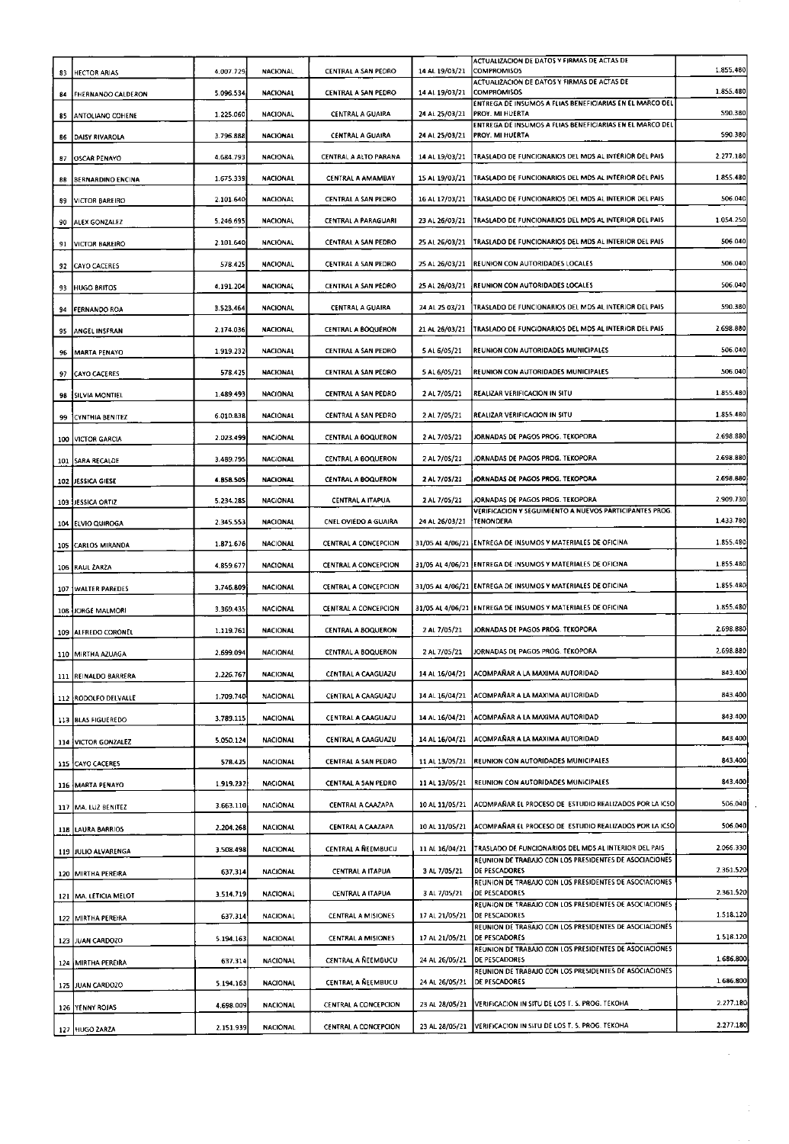| ACTUALIZACION DE DATOS Y FIRMAS DE ACTAS DE<br><b>COMPROMISOS</b><br>CENTRAL A SAN PEDRO<br>14 AL 19/03/21<br>4.007.729<br><b>NACIONAL</b><br><b>HECTOR ARIAS</b><br>83<br>ACTUALIZACION DE DATOS Y FIRMAS DE ACTAS DE<br><b>COMPROMISOS</b><br><b>NACIONAL</b><br>CENTRAL A SAN PEDRO<br>14 AL 19/03/21<br>5.096.534<br><b>FHERNANDO CALDERON</b><br>84<br>ENTREGA DE INSUMOS A FLIAS BENEFICIARIAS EN EL MARCO DEL<br><b>NACIONAL</b><br><b>CENTRAL A GUAIRA</b><br>24 AL 25/03/21<br>PROY. MI HUERTA<br>1.225.060<br>ANTOLIANO COHENE<br>85<br>ENTREGA DE INSUMOS A FLIAS BENEFICIARIAS EN EL MARCO DEL<br>24 AL 25/03/21<br>PROY. MI HUERTA<br>3.796.888<br><b>NACIONAL</b><br>CENTRAL A GUAIRA<br>DAISY RIVAROLA<br>86<br>TRASLADO DE FUNCIONARIOS DEL MDS AL INTERIOR DEL PAIS<br>14 AL 19/03/21<br>4.684.793<br><b>NACIONAL</b><br>CENTRAL A ALTO PARANA<br>87<br>OSCAR PENAYO | 1.855.480<br>1.855.480<br>590.380 |
|---------------------------------------------------------------------------------------------------------------------------------------------------------------------------------------------------------------------------------------------------------------------------------------------------------------------------------------------------------------------------------------------------------------------------------------------------------------------------------------------------------------------------------------------------------------------------------------------------------------------------------------------------------------------------------------------------------------------------------------------------------------------------------------------------------------------------------------------------------------------------------------|-----------------------------------|
|                                                                                                                                                                                                                                                                                                                                                                                                                                                                                                                                                                                                                                                                                                                                                                                                                                                                                       |                                   |
|                                                                                                                                                                                                                                                                                                                                                                                                                                                                                                                                                                                                                                                                                                                                                                                                                                                                                       |                                   |
|                                                                                                                                                                                                                                                                                                                                                                                                                                                                                                                                                                                                                                                                                                                                                                                                                                                                                       |                                   |
|                                                                                                                                                                                                                                                                                                                                                                                                                                                                                                                                                                                                                                                                                                                                                                                                                                                                                       | 590.380                           |
|                                                                                                                                                                                                                                                                                                                                                                                                                                                                                                                                                                                                                                                                                                                                                                                                                                                                                       | 2.277.180                         |
| TRASLADO DE FUNCIONARIOS DEL MOS AL INTERIOR DEL PAIS<br><b>NACIONAL</b><br>CENTRAL A AMAMBAY<br>15 AL 19/03/21<br>1.675.339<br><b>BERNARDINO ENCINA</b><br>88                                                                                                                                                                                                                                                                                                                                                                                                                                                                                                                                                                                                                                                                                                                        | 1.855.480                         |
| CENTRAL A SAN PEDRO<br>16 AL 17/03/21<br>TRASLADO DE FUNCIONARIOS DEL MDS AL INTERIÓR DEL PAIS<br>2.101.640<br><b>NACIONAL</b><br>VICTOR BAREIRO                                                                                                                                                                                                                                                                                                                                                                                                                                                                                                                                                                                                                                                                                                                                      | 506.040                           |
| 89<br>TRASLADO DE FUNCIONARIOS DEL MOS AL INTERIOR DEL PAIS<br>5.246.695<br><b>NACIONAL</b><br>CENTRAL A PARAGUARI<br>23 AL 26/03/21                                                                                                                                                                                                                                                                                                                                                                                                                                                                                                                                                                                                                                                                                                                                                  | 1.054.250                         |
| ALEX GONZALEZ<br>90                                                                                                                                                                                                                                                                                                                                                                                                                                                                                                                                                                                                                                                                                                                                                                                                                                                                   | 506.040                           |
| TRASLADO DE FUNCIONARIOS DEL MDS AL INTERIOR DEL PAIS<br>CENTRAL A SAN PEDRO<br>25 AL 26/03/21<br>2.101.640<br>NACIONAL<br><b>VICTOR BAREIRO</b><br>91                                                                                                                                                                                                                                                                                                                                                                                                                                                                                                                                                                                                                                                                                                                                |                                   |
| REUNION CON AUTORIDADES LOCALES<br>CENTRAL A SAN PEDRO<br>25 AL 26/03/21<br>578.425<br>NACIONAL<br><b>CAYO CACERES</b><br>92                                                                                                                                                                                                                                                                                                                                                                                                                                                                                                                                                                                                                                                                                                                                                          | 506.040                           |
| REUNION CON AUTORIDADES LOCALES<br>CENTRAL A SAN PEDRO<br>25 AL 26/03/21<br>4.191.204<br><b>NACIONAL</b><br><b>HUGO BRITOS</b><br>93                                                                                                                                                                                                                                                                                                                                                                                                                                                                                                                                                                                                                                                                                                                                                  | 506.040                           |
| TRASLADO DE FUNCIONARIOS DEL MOS AL INTERIOR DEL PAIS<br>24 AL 25 03/21<br>3.523.464<br><b>NACIONAL</b><br>CENTRAL A GUAIRA<br>FERNANDO ROA<br>94                                                                                                                                                                                                                                                                                                                                                                                                                                                                                                                                                                                                                                                                                                                                     | 590.380                           |
| TRASLADO DE FUNCIONARIOS DEL MOS AL INTERIOR DEL PAIS<br>CENTRAL A BOQUERON<br>21 AL 26/03/21<br>2.174.036<br><b>NACIONAL</b><br>ANGEL INSERAN<br>95                                                                                                                                                                                                                                                                                                                                                                                                                                                                                                                                                                                                                                                                                                                                  | 2.698.880                         |
| CENTRAL A SAN PEDRO<br>5 AL 6/05/21<br>REUNION CON AUTORIDADES MUNICIPALES<br>NACIONAL<br>1.919.232<br><b>MARTA PENAYO</b><br>96                                                                                                                                                                                                                                                                                                                                                                                                                                                                                                                                                                                                                                                                                                                                                      | 506.040                           |
| 5 AL 6/05/21<br>REUNION CON AUTORIDADES MUNICIPALES<br>578.425<br><b>NACIONAL</b><br>CENTRAL A SAN PEDRO<br>97<br><b>CAYO CACERES</b>                                                                                                                                                                                                                                                                                                                                                                                                                                                                                                                                                                                                                                                                                                                                                 | 506.040                           |
| REALIZAR VERIFICACION IN SITU<br>NACIONAL<br>CENTRAL A SAN PEDRO<br>2 AL 7/05/21<br>1.489.493<br>98<br>SILVIA MONTIEL                                                                                                                                                                                                                                                                                                                                                                                                                                                                                                                                                                                                                                                                                                                                                                 | 1.855.480                         |
| REALIZAR VERIFICACION IN SITU<br>5.010.838<br><b>NACIONAL</b><br>CENTRAL A SAN PEDRO<br>2 AL 7/05/21<br>CYNTHIA BENITEZ<br>99                                                                                                                                                                                                                                                                                                                                                                                                                                                                                                                                                                                                                                                                                                                                                         | 1.855.480                         |
| 2 AL 7/05/21<br>JORNADAS DE PAGOS PROG. TEKOPORA<br>2.023.499<br><b>NACIONAL</b><br>CENTRAL A BOQUERON<br><b>VICTOR GARCIA</b><br>100                                                                                                                                                                                                                                                                                                                                                                                                                                                                                                                                                                                                                                                                                                                                                 | 2.698.880                         |
| JORNADAS DE PAGOS PROG. TEKOPORA<br>2 AL 7/05/21<br>3.489.795<br>NACIONAL<br><b>CENTRAL A BOQUERON</b><br>SARA RECALDE<br>101                                                                                                                                                                                                                                                                                                                                                                                                                                                                                                                                                                                                                                                                                                                                                         | 2.698.880                         |
| JORNADAS DE PAGOS PROG. TEKOPORA<br>CENTRAL A BOQUERON<br>2 AL 7/05/21<br>4.858.505<br><b>NACIONAL</b><br>102 JESSICA GIESE                                                                                                                                                                                                                                                                                                                                                                                                                                                                                                                                                                                                                                                                                                                                                           | 2.698.880                         |
| JORNADAS DE PAGOS PROG. TEKOPORA<br>2 AL 7/05/21<br><b>NACIONAL</b><br>CENTRAL A ITAPUA<br>5.234.285<br>103 JESSICA ORTIZ                                                                                                                                                                                                                                                                                                                                                                                                                                                                                                                                                                                                                                                                                                                                                             | 2.909.730                         |
| VERIFICACION Y SEGUIMIENTO A NUEVOS PARTICIPANTES PROG.<br>TENONDERA<br>CNEL OVIEDO A GUAIRA<br>24 AL 26/03/21<br><b>NACIONAL</b><br>2.345.553<br>104 ELVIO QUIROGA                                                                                                                                                                                                                                                                                                                                                                                                                                                                                                                                                                                                                                                                                                                   | 1.433.780                         |
| 31/05 AL 4/06/21 ENTREGA DE INSUMOS Y MATERIALES DE OFICINA<br><b>NACIONAL</b><br>CENTRAL A CONCEPCION<br>1.871.676<br>105 CARLOS MIRANDA                                                                                                                                                                                                                                                                                                                                                                                                                                                                                                                                                                                                                                                                                                                                             | 1.855.480                         |
| 31/05 AL 4/06/21 ENTREGA DE INSUMOS Y MATERIALES DE OFICINA<br><b>NACIONAL</b><br><b>CENTRAL A CONCEPCION</b><br>4.859.677<br>106 RAUL ZARZA                                                                                                                                                                                                                                                                                                                                                                                                                                                                                                                                                                                                                                                                                                                                          | 1.855.480                         |
| CENTRAL A CONCEPCION<br>31/05 AL 4/06/21 ENTREGA DE INSUMOS Y MATÉRIALES DE OFICINA<br><b>NACIONAL</b><br>3.746.809                                                                                                                                                                                                                                                                                                                                                                                                                                                                                                                                                                                                                                                                                                                                                                   | 1.855.480                         |
| 107<br><b>WALTER PAREDES</b><br>31/05 AL 4/06/21 ENTREGA DE INSUMOS Y MATERIALES DE OFICINA<br><b>CENTRAL A CONCEPCION</b><br><b>NACIONAL</b>                                                                                                                                                                                                                                                                                                                                                                                                                                                                                                                                                                                                                                                                                                                                         | 1.855.480                         |
| 3.369.435<br>108 JORGE MALMORI<br>JORNADAS DE PAGOS PROG. TEKOPORA<br>2 AL 7/05/21                                                                                                                                                                                                                                                                                                                                                                                                                                                                                                                                                                                                                                                                                                                                                                                                    | 2.698.880                         |
| <b>NACIONAL</b><br>CENTRAL A BOQUERON<br>1.119.761<br>109 ALFREDO CORONEL                                                                                                                                                                                                                                                                                                                                                                                                                                                                                                                                                                                                                                                                                                                                                                                                             |                                   |
| JORNADAS DE PAGOS PROG. TEKOPORA<br>NACIONAL<br>CENTRAL A BOQUERON<br>2 AL 7/05/21<br>2.699.094<br>110 MIRTHA AZUAGA                                                                                                                                                                                                                                                                                                                                                                                                                                                                                                                                                                                                                                                                                                                                                                  | 2.698.880                         |
| ACOMPAÑAR A LA MAXIMA AUTORIDAD<br><b>NACIONAL</b><br>CENTRAL A CAAGUAZU<br>14 AL 16/04/21<br>2.226.767<br>111 REINALDO BARRERA                                                                                                                                                                                                                                                                                                                                                                                                                                                                                                                                                                                                                                                                                                                                                       | 843.400                           |
| ACOMPANAR A LA MAXIMA AUTORIDAD<br>NACIONAL<br>CENTRAL A CAAGUAZU<br>14 AL 16/04/21<br>1.709.740<br>112 RODOLFO DELVALLE                                                                                                                                                                                                                                                                                                                                                                                                                                                                                                                                                                                                                                                                                                                                                              | 843.400                           |
| ACOMPAÑAR A LA MAXIMA AUTORIDAD<br><b>NACIONAL</b><br>CENTRAL A CAAGUAZU<br>14 AL 16/04/21<br>3.789.115<br>113 BLAS FIGUEREDO                                                                                                                                                                                                                                                                                                                                                                                                                                                                                                                                                                                                                                                                                                                                                         | 843.400                           |
| ACOMPAÑAR A LA MAXIMA AUTORIDAD<br><b>NACIONAL</b><br>CENTRAL A CAAGUAZU<br>14 AL 15/04/21<br>5.050.124<br>114 VICTOR GONZALEZ                                                                                                                                                                                                                                                                                                                                                                                                                                                                                                                                                                                                                                                                                                                                                        | 843.400                           |
| REUNION CON AUTORIDADES MUNICIPALES<br><b>NACIONAL</b><br>CENTRAL A SAN PEDRO<br>11 AL 13/05/21<br>578.425<br>115 CAYO CACERES                                                                                                                                                                                                                                                                                                                                                                                                                                                                                                                                                                                                                                                                                                                                                        | 843.400                           |
| REUNION CON AUTORIDADES MUNICIPALES<br>CENTRAL A SAN PEDRO<br>11 AL 13/05/21<br>1.919.232<br><b>NACIONAL</b><br>116 MARTA PENAYO                                                                                                                                                                                                                                                                                                                                                                                                                                                                                                                                                                                                                                                                                                                                                      | 843.400                           |
| ACOMPAÑAR EL PROCESO DE ESTUDIO REALIZADOS POR LA ICSO<br>CENTRAL A CAAZAPA<br>10 AL 11/05/21<br>3.663.110<br><b>NACIONAL</b><br>117 MA. LUZ BENITEZ                                                                                                                                                                                                                                                                                                                                                                                                                                                                                                                                                                                                                                                                                                                                  | 506.040                           |
| ACOMPAÑAR EL PROCESO DE ESTUDIO REALIZADOS POR LA ICSO<br>10 AL 11/05/21<br><b>NACIONAL</b><br>CENTRAL A CAAZAPA<br>2.204.268<br>118   LAURA BARRIOS                                                                                                                                                                                                                                                                                                                                                                                                                                                                                                                                                                                                                                                                                                                                  | 506.040                           |
| TRASLADO DE FUNCIONARIOS DEL MOS AL INTERIOR DEL PAIS<br><b>NACIONAL</b><br>CENTRAL A ÑEEMBUCU<br>11 AL 16/04/21<br>3.508.498<br>119 JULIO ALVARENGA                                                                                                                                                                                                                                                                                                                                                                                                                                                                                                                                                                                                                                                                                                                                  | 2.066.330                         |
| REUNION DE TRABAJO CON LOS PRESIDENTES DE ASOCIACIONES<br>CENTRAL A ITAPUA<br>3 AL 7/05/21<br>DE PESCADORES<br><b>NACIONAL</b><br>637.314                                                                                                                                                                                                                                                                                                                                                                                                                                                                                                                                                                                                                                                                                                                                             | 2.361.520                         |
| 120 MIRTHA PEREIRA<br>REUNION DE TRABAJO CON LOS PRESIDENTES DE ASOCIACIONES                                                                                                                                                                                                                                                                                                                                                                                                                                                                                                                                                                                                                                                                                                                                                                                                          | 2.361.520                         |
| <b>DE PESCADORES</b><br>CENTRAL A ITAPUA<br>3 AL 7/05/21<br><b>NACIONAL</b><br>3.514.719<br>121   MA. LETICIA MELOT<br>REUNION DE TRABAJO CON LOS PRESIDENTES DE ASOCIACIONES                                                                                                                                                                                                                                                                                                                                                                                                                                                                                                                                                                                                                                                                                                         |                                   |
| 17 AL 21/05/21<br><b>DE PESCADORES</b><br><b>CENTRAL A MISIONES</b><br><b>NACIONAL</b><br>637.314<br>122 MIRTHA PEREIRA<br>REUNION DE TRABAJO CON LOS PRESIDENTES DE ASOCIACIÓNES                                                                                                                                                                                                                                                                                                                                                                                                                                                                                                                                                                                                                                                                                                     | 1.518.120                         |
| <b>DE PESCADORES</b><br><b>CENTRAL A MISIONES</b><br>17 AL 21/05/21<br>NACIONAL<br>5.194.163<br>123 JUAN CARDOZO<br>REUNION DE TRABAJO CON LOS PRESIDENTES DE ASOCIACIONES                                                                                                                                                                                                                                                                                                                                                                                                                                                                                                                                                                                                                                                                                                            | 1.518.120                         |
| <b>DE PESCADORES</b><br><b>NACIONAL</b><br>CENTRAL A REEMBUCU<br>24 AL 26/05/21<br>637.314<br>124 MIRTHA PEREIRA<br>REUNION DE TRABAJO CON LOS PRESIDENTES DE ASOCIACIONES                                                                                                                                                                                                                                                                                                                                                                                                                                                                                                                                                                                                                                                                                                            | 1.686.800                         |
| DE PESCADORES<br>CENTRAL A REEMBUCU<br>24 AL 26/05/21<br><b>NACIONAL</b><br>5.194.163<br>125 JUAN CARDOZO                                                                                                                                                                                                                                                                                                                                                                                                                                                                                                                                                                                                                                                                                                                                                                             | 1.686.800                         |
| VERIFICACION IN SITU DE LOS T. S. PROG. TEKOHA<br>23 AL 28/05/21<br>CENTRAL A CONCEPCION<br><b>NACIONAL</b><br>4.698.009<br>126 YENNY ROJAS                                                                                                                                                                                                                                                                                                                                                                                                                                                                                                                                                                                                                                                                                                                                           | 2.277.180                         |
| VERIFICACION IN SITU DE LOS T. S. PROG. TEKOHA<br>CENTRAL A CONCEPCION<br>23 AL 28/05/21<br><b>NACIONAL</b><br>2.151.939<br>127 HUGO ZARZA                                                                                                                                                                                                                                                                                                                                                                                                                                                                                                                                                                                                                                                                                                                                            | 2.277.180                         |

 $\mathcal{L}^{\pm}$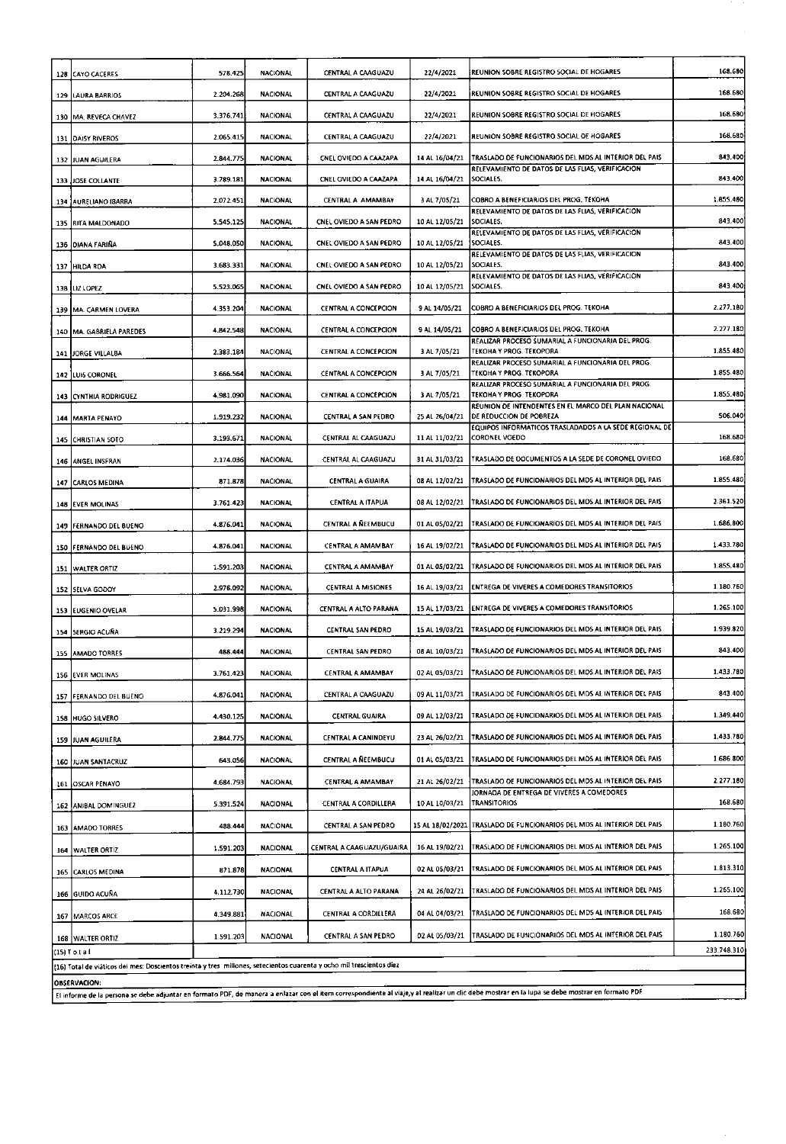| 128 | CAYO CACERES                                                                                                         | 578.425   | <b>NACIONAL</b> | CENTRAL A CAAGUAZU          | 22/4/2021        | REUNION SOBRE REGISTRO SOCIAL DE HOGARES                                                                                                                                                        | 168.680     |
|-----|----------------------------------------------------------------------------------------------------------------------|-----------|-----------------|-----------------------------|------------------|-------------------------------------------------------------------------------------------------------------------------------------------------------------------------------------------------|-------------|
|     | 129 LAURA BARRIOS                                                                                                    | 2.204.268 | <b>NACIONAL</b> | CENTRAL A CAAGUAZU          | 22/4/2021        | REUNION SOBRE REGISTRO SOCIAL DE HOGARES                                                                                                                                                        | 168.680     |
|     | 130   MA. REVECA CHAVEZ                                                                                              | 3.376.741 | NACIONAL        | CENTRAL A CAAGUAZU          | 22/4/2021        | REUNION SOBRE REGISTRO SOCIAL DE HOGARES                                                                                                                                                        | 168.680     |
|     | 131 DAISY RIVEROS                                                                                                    | 2.065.415 | NACIONAL        | CENTRAL A CAAGUAZU          | 22/4/2021        | REUNION SOBRE REGISTRO SOCIAL DE HOGARES                                                                                                                                                        | 168.680     |
|     | 132 JUAN AGUILERA                                                                                                    | 2.844.775 | <b>NACIONAL</b> | CNEL OVIEDO A CAAZAPA       | 14 AL 16/04/21   | TRASLADO DE FUNCIONARIOS DEL MDS AL INTERIOR DEL PAIS                                                                                                                                           | 843.400     |
|     | 133 JOSE COLLANTE                                                                                                    | 3.789.181 | <b>NACIONAL</b> | CNEL OVIEDO A CAAZAPA       | 14 AL 16/04/21   | RELEVAMIENTO DE DATOS DE LAS FLIAS, VERIFICACION<br>SOCIALES.                                                                                                                                   | 843.400     |
|     | 134 JAURELIANO ISARRA                                                                                                | 2.072.451 | <b>NACIONAL</b> | CENTRAL A AMAMBAY           | 3 AL 7/05/21     | COBRO A BENEFICIARIOS DEL PROG. TEKOHA                                                                                                                                                          | 1.855.480   |
|     | 135 RITA MALDONADO                                                                                                   | 5.545.125 | NACIONAL        | CNEL OVIEDO A SAN PEDRO     | 10 AL 12/05/21   | RELEVAMIENTO DE DATOS DE LAS FLIAS, VERIFICACION<br><b>SOCIALES</b>                                                                                                                             | 843.400     |
|     | 136 DIANA FARIÑA                                                                                                     | 5.048.050 | NACIONAL        | CNEL OVIEDO A SAN PEDRO     | 10 AL 12/05/21   | RELEVAMIENTO DE DATOS DE LAS FLIAS, VERIFICACION<br>SOCIALES.                                                                                                                                   | 843.400     |
| 137 | <b>HILDA ROA</b>                                                                                                     | 3.683.331 | <b>NACIONAL</b> | CNEL OVIEDO A SAN PEDRO     | 10 AL 12/05/21   | RELEVAMIENTO DE DATOS DE LAS FLIAS, VERIFICACION<br>SOCIALES.                                                                                                                                   | 843.400     |
|     | 138 LIZ LOPEZ                                                                                                        | 5.523.065 | <b>NACIONAL</b> | CNEL OVIEDO A SAN PEDRO     | 10 AL 12/05/21   | RELEVAMIENTO DE DATOS DE LAS FLIAS, VERIFICACIÓN<br>SOCIALES.                                                                                                                                   | 843.400     |
|     | 139 MA. CARMEN LOVERA                                                                                                | 4.353.204 | <b>NACIONAL</b> | CENTRAL A CONCEPCION        | 9 AL 14/05/21    | COBRO A BENEFICIARIOS DEL PROG. TEKOHA                                                                                                                                                          | 2.277.180   |
|     | 140 MA. GABRIELA PAREDES                                                                                             | 4.842.548 | <b>NACIONAL</b> | CENTRAL A CONCEPCION        | 9 AL 14/05/21    | COBRO A BENEFICIARIOS DEL PROG. TEKOHA                                                                                                                                                          | 2.277.180   |
| 141 | JORGE VILLALBA                                                                                                       | 2.383.184 | <b>NACIONAL</b> | CENTRAL A CONCEPCION        | 3 AL 7/05/21     | REALIZAR PROCESO SUMARIAL A FUNCIONARIA DEL PROG.<br>TEKOHA Y PROG. TEKOPORA                                                                                                                    | 1.855.480   |
|     | 142 LUIS CORONEL                                                                                                     | 3.666.564 | <b>NACIONAL</b> | <b>CENTRAL A CONCEPCION</b> | 3 AL 7/05/21     | REALIZAR PROCESO SUMARIAL A FUNCIONARIA DEL PROG.<br>TEKOHA Y PROG. TEKOPORA                                                                                                                    | 1.855.480   |
|     | <b>143 CYNTHIA RODRIGUEZ</b>                                                                                         | 4.981.090 | <b>NACIONAL</b> | CENTRAL A CONCEPCION        | 3 AL 7/05/21     | REALIZAR PROCESO SUMARIAL A FUNCIONARIA DEL PROG.<br>TEKOHA Y PROG. TEKOPORA                                                                                                                    | 1.855.480   |
|     | 144 MARTA PENAYO                                                                                                     | 1.919.232 | <b>NACIONAL</b> | CENTRAL A SAN PEDRO         | 25 AL 26/04/21   | REUNION DE INTENDENTES EN EL MARCO DEL PLAN NACIONAL<br>DE REDUCCION DE POBREZA                                                                                                                 | 506.040     |
| 145 | <b>CHRISTIAN SOTO</b>                                                                                                | 3.193.671 | <b>NACIONAL</b> | CENTRAL AL CAAGUAZU         | 11 AL 11/02/21   | EQUIPOS INFORMATICOS TRASLADADOS A LA SEDE REGIONAL DE<br>CORONEL VOEDO                                                                                                                         | 168.680     |
|     | 146 ANGEL INSFRAN                                                                                                    | 2.174.036 | <b>NACIONAL</b> | CENTRAL AL CAAGUAZU         | 31 AL 31/03/21   | TRASLADO DE DOCUMENTOS A LA SEDE DE CORONEL OVIEDO                                                                                                                                              | 168.680     |
| 147 | <b>CARLOS MEDINA</b>                                                                                                 | 871.878   | <b>NACIONAL</b> | <b>CENTRAL A GUAIRA</b>     | 08 AL 12/02/21   | TRASLADO DE FUNCIONARIOS DEL MOS AL INTERIOR DEL PAIS                                                                                                                                           | 1.855.480   |
|     | 148 EVER MOLINAS                                                                                                     | 3.761.423 | <b>NACIONAL</b> | <b>CENTRAL A ITAPUA</b>     | 08 AL 12/02/21   | TRASLADO DE FUNCIONARIOS DEL MOS AL INTERIOR DEL PAIS                                                                                                                                           | 2.361.520   |
|     | 149 FERNANDO DEL BUENO                                                                                               | 4.876.041 | <b>NACIONAL</b> | CENTRAL A ÑEEMBUCU          | 01 AL 05/02/21   | TRASLADO DE FUNCIONARIOS DEL MOS AL INTERIOR DEL PAIS                                                                                                                                           | 1.686.800   |
|     | 150 FERNANDO DEL BUENO                                                                                               | 4.876.041 | <b>NACIONAL</b> | CENTRAL A AMAMBAY           | 16 AL 19/02/21   | TRASLADO DE FUNCIONARIOS DEL MDS AL INTERIOR DEL PAIS                                                                                                                                           | 1.433.780   |
| 151 | WALTER ORTIZ                                                                                                         | 1.591.203 | NACIONAL        | CENTRAL A AMAMBAY           | 01 AL 05/02/21   | TRASLADO DE FUNCIONARIOS DEL MOS AL INTERIOR DEL PAIS                                                                                                                                           | 1.855.480   |
|     | 152 SELVA GODOY                                                                                                      | 2.976.092 | <b>NACIONAL</b> | <b>CENTRAL A MISIONES</b>   | 16 AL 19/03/21   | <b>ENTREGA DE VIVERES A COMEDORES TRANSITORIOS</b>                                                                                                                                              | 1.180.760   |
|     | 153 EUGENIO OVELAR                                                                                                   | 5.031.998 | <b>NACIONAL</b> | CENTRAL A ALTO PARANA       | 15 AL 17/03/21   | ENTREGA DE VIVERES A COMEDORES TRANSITORIOS                                                                                                                                                     | 1.265.100   |
|     | 154 SERGIO ACUÑA                                                                                                     | 3.219.294 | <b>NACIONAL</b> | CENTRAL SAN PEDRO           | 15 AL 19/03/21   | TRASLADO DE FUNCIONARIOS DEL MOS AL INTERIOR DEL PAIS                                                                                                                                           | 1.939.820   |
|     | 155 AMADO TORRES                                                                                                     | 488.444   | <b>NACIONAL</b> | CENTRAL SAN PEDRO           | 08 AL 10/03/21   | TRASLADO DE FUNCIONARIOS DEL MOS AL INTERIOR DEL PAIS                                                                                                                                           | 843.400     |
|     | 156 EVER MOLINAS                                                                                                     | 3.761.423 | <b>NACIONAL</b> | <b>CENTRAL A AMAMBAY</b>    | 02 AL 05/03/21   | TRASLADO DE FUNCIONARIOS DEL MOS AL INTERIOR DEL PAIS                                                                                                                                           | 1.433.780   |
|     | 157 FERNANDO DEL BUENO                                                                                               | 4.876.041 | <b>NACIONAL</b> | CENTRAL A CAAGUAZU          | 09 AL 11/03/21   | TRASLADO DE FUNCIONARIOS DEL MOS AL INTERIOR DEL PAIS                                                                                                                                           | 843.400     |
|     | 158 HUGO SILVERO                                                                                                     | 4.430.125 | <b>NACIONAL</b> | <b>CENTRAL GUAIRA</b>       | 09 AL 12/03/21   | TRASLADO DE FUNCIONARIOS DEL MDS AL INTERIOR DEL PAIS                                                                                                                                           | 1.349.440   |
|     | 159 JUAN AGUILERA                                                                                                    | 2.844.775 | <b>NACIONAL</b> | CENTRAL A CANINDEYU         | 23 AL 26/02/21   | TRASLADO DE FUNCIONARIOS DEL MOS AL INTERIOR DEL PAIS                                                                                                                                           | 1.433.780   |
|     | 160 JUAN SANTACRUZ                                                                                                   | 643.056   | <b>NACIONAL</b> | CENTRAL A NEEMBUCU          | 01 AL 05/03/21   | TRASLADO DE FUNCIONARIOS DEL MOS AL INTERIOR DEL PAIS                                                                                                                                           | 1.686.800   |
|     | 161 OSCAR PENAYO                                                                                                     | 4.684.793 | NACIONAL        | CENTRAL A AMAMBAY           | 21 AL 26/02/21   | TRASLADO DE FUNCIONARIOS DEL MDS AL INTERIOR DEL PAIS                                                                                                                                           | 2.277.180   |
|     | 162 ANIBAL DOMINGUEZ                                                                                                 | 5.391.524 | NACIONAL        | CENTRAL A CORDILLERA        | 10 AL 10/03/21   | JORNADA DE ENTREGA DE VIVERES A COMEDORES<br><b>TRANSITORIOS</b>                                                                                                                                | 168.680     |
|     | 163 AMADO TORRES                                                                                                     | 488.444   | <b>NACIONAL</b> | CENTRAL A SAN PEDRO         | 15 AL 18/02/2021 | TRASLADO DE FUNCIONARIOS DEL MDS AL INTERIOR DEL PAIS                                                                                                                                           | 1.180.760   |
|     |                                                                                                                      | 1.591.203 | NACIONAL        | CENTRAL A CAAGUAZU/GUAIRA   | 16 AL 19/02/21   | TRASLADO DE FUNCIONARIOS DEL MDS AL INTERIOR DEL PAIS                                                                                                                                           | 1.265.100   |
|     | 164 WALTER ORTIZ                                                                                                     | 871.878   | <b>NACIONAL</b> | CENTRAL A ITAPUA            | 02 AL 05/03/21   | TRASLADO DE FUNCIONARIOS DEL MDS AL INTERIOR DEL PAIS                                                                                                                                           | 1.813.310   |
|     | 165 CARLOS MEDINA                                                                                                    | 4.112.730 | <b>NACIONAL</b> | CENTRAL A ALTO PARANA       | 24 AL 26/02/21   | TRASLADO DE FUNCIONARIOS DEL MDS AL INTERIOR DEL PAIS                                                                                                                                           | 1.265.100   |
|     | 166 GUIDO ACUÑA                                                                                                      |           |                 | CENTRAL A CORDILLERA        | 04 AL 04/03/21   | TRASLADO DE FUNCIONARIOS DEL MDS AL INTERIOR DEL PAIS                                                                                                                                           | 168.680     |
|     | 167   MARCOS ARCE                                                                                                    | 4.349.881 | NACIONAL        |                             |                  |                                                                                                                                                                                                 | 1.180.760   |
|     | 168 WALTER ORTIZ<br>$(15)$ T ot a $1$                                                                                | 1.591.203 | NACIONAL        | CENTRAL A SAN PEDRO         | 02 AL 05/03/21   | TRASLADO DE FUNCIONARIOS DEL MDS AL INTERIOR DEL PAIS                                                                                                                                           | 233.748.310 |
|     | (16) Total de viáticos del mes: Doscientos treinta y tres millones, setecientos cuarenta y ocho mil trescientos diez |           |                 |                             |                  |                                                                                                                                                                                                 |             |
|     | <b>OBSERVACION:</b>                                                                                                  |           |                 |                             |                  | El informe de la persona se debe adjuntar en formato PDF, de manera a enlazar con el item correspondiente al viaje,y al realizar un clic debe mostrar en la lupa se debe mostrar en formato PDF |             |
|     |                                                                                                                      |           |                 |                             |                  |                                                                                                                                                                                                 |             |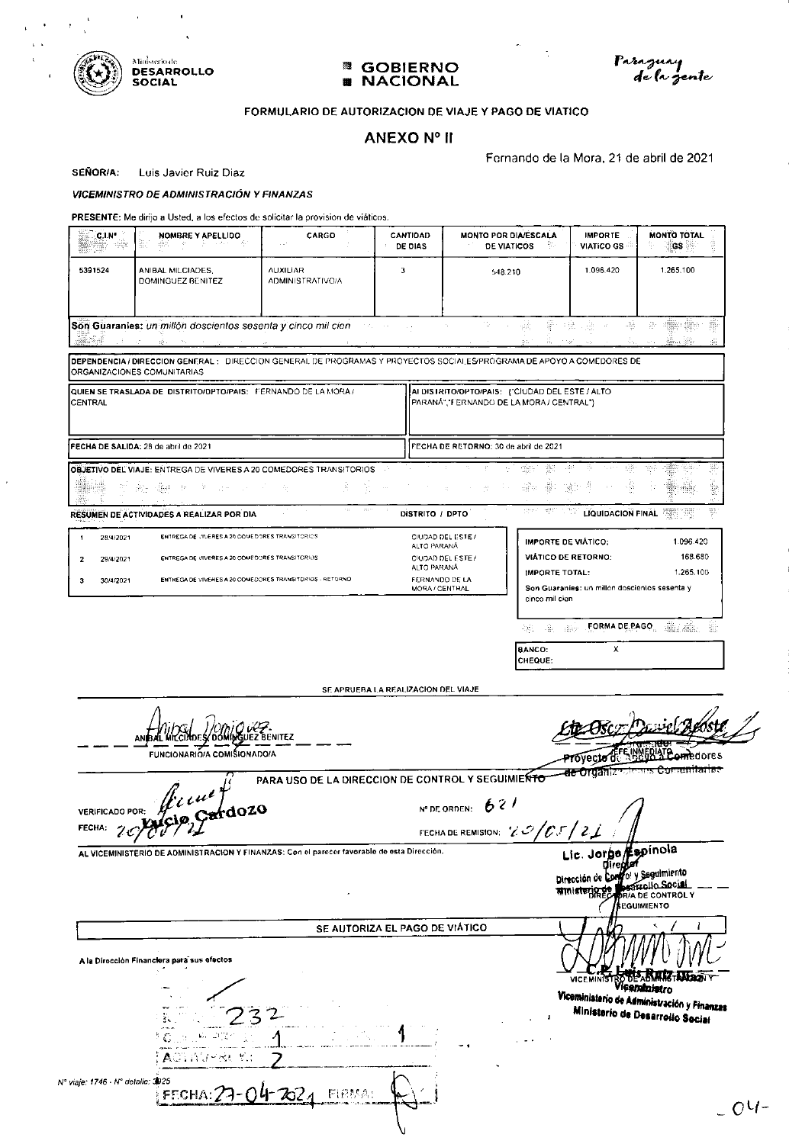



#### **<sup>3</sup>** GOBIERNO **NACIONAL** 躙



#### FORMULARIO DE AUTORIZACION DE VIAJE Y PAGO DE VIATICO

## **ANEXO Nº II**

Fernando de la Mora, 21 de abril de 2021

SEÑOR/A: Luis Javier Ruiz Diaz

#### **VICEMINISTRO DE ADMINISTRACIÓN Y FINANZAS**

PRESENTE: Me dirijo a Usted, a los efectos de solicitar la provision de viáticos.

| C.I.N*<br>그림을                                                 | NOMBRE Y APELLIDO<br>Ð.<br>그런 그 나는 아프라이<br>48P.                                                                                                             | CARGO                                             | CANTIDAD<br>DE DIAS                                            | MONTO POR DIA/ESCALA<br>DE VIATICOS                                                                                   | <b>IMPORTE</b><br>VIATICO GS <sup></sup>                                                                  | <b>MONTO TOTAL</b><br>968 QR                                                                   |
|---------------------------------------------------------------|-------------------------------------------------------------------------------------------------------------------------------------------------------------|---------------------------------------------------|----------------------------------------------------------------|-----------------------------------------------------------------------------------------------------------------------|-----------------------------------------------------------------------------------------------------------|------------------------------------------------------------------------------------------------|
| 5391524                                                       | ANIBAL MILCIADES.<br>DOMINGUEZ BENITEZ                                                                                                                      | <b>AUXILIAR</b><br><b>ADMINISTRATIVO/A</b>        | 3                                                              | 548.210                                                                                                               | 1.096.420                                                                                                 | 1.265.100                                                                                      |
| y.gr                                                          | Son Guaranies: un millón doscientos sesenta y cinco mil cien-<br>m.                                                                                         |                                                   | 100 million<br>$\sim$ $\sim$                                   | 75.<br>좋~ #요.<br>şik,<br>$\mathcal{L}_{\mathbf{A}}$<br>Ä,                                                             | -Rb<br>그렸는<br>$\sim$<br>11,597                                                                            | $\frac{1}{2}$<br>キ<br>ភ<br>About 1997<br>SS.                                                   |
|                                                               | ORGANIZACIONES COMUNITARIAS                                                                                                                                 |                                                   |                                                                | DEPENDENCIA / DIRECCION GENERAL: DIRECCION GENERAL DE PROGRAMAS Y PROYECTOS SOCIALES/PROGRAMA DE APOYO A COMEDORES DE |                                                                                                           |                                                                                                |
| <b>CENTRAL</b>                                                | QUIEN SE TRASLADA DE DISTRITO/DPTO/PAIS: FERNANDO DE LA MORA /                                                                                              |                                                   |                                                                | AI DISTRITO/OPTO/PAIS: {"CIUDAD DEL ESTE / ALTO<br>PARANÁ","FERNANDO DE LA MORA / CENTRAL"}                           |                                                                                                           |                                                                                                |
|                                                               | FECHA DE SALIDA: 28 de abril de 2021                                                                                                                        |                                                   |                                                                | FECHA DE RETORNO: 30 de abril de 2021                                                                                 |                                                                                                           |                                                                                                |
|                                                               | OBJETIVO DEL VIAJE: ENTREGA DE VIVERES A 20 COMEDORES TRANSITORIOS<br>-91<br>남편 그는 아직 아래도<br>Ar.                                                            | 差                                                 | $\ldots$                                                       | Ŵ.<br>m<br>÷<br>629                                                                                                   | -36<br>55만<br>ŵ,<br>æ                                                                                     | 鄹<br>nbi.<br>ÿ                                                                                 |
|                                                               | RESUMEN DE ACTIVIDADES A REALIZAR POR DIA                                                                                                                   | 122<br>1573                                       | DISTRITO / DPTO                                                | 博打<br>operi.                                                                                                          | 1. TY<br><b>LIQUIDACION FINAL</b>                                                                         | 鄂<br>19<br>e                                                                                   |
| 28/4/2021<br>1<br>29/4/2021<br>$\mathbf{2}$<br>з<br>30/4/2021 | ENTREGA DE VIVERES A 20 COMEDORES TRANSITORIOS<br>ENTREGADE VIVERES A 20 COMEDDRES TRANSITORIOS<br>ENTREGA DE VIVERES A 20 COMEDORES TRANSITORIOS - RETORNO |                                                   | ALTO PARANA<br>ALTO PARANA<br>FERNANDO DE LA<br>MORA / CENTRAL | CIUDAD DEL ESTE /<br>CIUDAD DEL ESTE /<br>IMPORTE TOTAL:                                                              | <b>IMPORTE DE VIATICO:</b><br><b>VIÁTICO DE RETORNO:</b><br>Son Guaranies: un millón doscientos sesenta y | 1.096.420<br>168.680<br>1.265.100                                                              |
|                                                               |                                                                                                                                                             |                                                   |                                                                | cinco mil cien<br>-William Berg<br>속원.                                                                                |                                                                                                           | FORMA DE PAGO ANTE ANNU<br>濫                                                                   |
|                                                               |                                                                                                                                                             |                                                   |                                                                | <b>BANCO:</b><br>CHEQUE:                                                                                              | х                                                                                                         |                                                                                                |
|                                                               |                                                                                                                                                             |                                                   | SE APRUEBA LA REALIZACION DEL VIAJE                            |                                                                                                                       |                                                                                                           |                                                                                                |
|                                                               | MICONDES/DOMINGUEZ BENITEZ<br>ANB<br><b>FUNCIONARIO/A COMISIONADO/A</b>                                                                                     |                                                   |                                                                |                                                                                                                       | ovecto d<br>ae organizi                                                                                   | <b>iedores</b><br><del>Comunitarias</del>                                                      |
| <b>VERIFICADO POR:</b><br>FECHA:                              | $\oint$ $\iota u^{\iota}$<br>Cardozo                                                                                                                        | PARA USO DE LA DIRECCION DE CONTROL Y SEGUIMIENTO |                                                                | 621<br>N° DE ORDEN:<br>FECHA DE REMISION: $ZO/CJ$                                                                     |                                                                                                           |                                                                                                |
|                                                               | AL VICEMINISTERIO DE ADMINISTRACION Y FINANZAS: Con el parecer favorable de esta Dirección.                                                                 |                                                   |                                                                |                                                                                                                       | Lic. Jorge<br>Dirección de Con<br><b>Rinisteric I</b>                                                     | Espínola<br>fo! y Seguimiento<br><b>DRIA DE CONTROL Y</b>                                      |
|                                                               |                                                                                                                                                             |                                                   | SE AUTORIZA EL PAGO DE VIÁTICO                                 |                                                                                                                       |                                                                                                           | <b>SEGUIMIENTO</b>                                                                             |
|                                                               | A la Dirocción Financiera para sus efectos                                                                                                                  |                                                   |                                                                |                                                                                                                       | <b>VICEMINIS</b>                                                                                          |                                                                                                |
|                                                               | $\beta$ , $\beta$ , $\beta$                                                                                                                                 |                                                   |                                                                |                                                                                                                       |                                                                                                           | Vicembriatro<br>Viceministerio de Administración y Finanzas<br>Ministerio de Desarrolio Social |
|                                                               | ACTIVITIEL V.                                                                                                                                               |                                                   |                                                                |                                                                                                                       |                                                                                                           |                                                                                                |
| Nº viaje: 1746 - Nº detalle: 3925                             | FECHA                                                                                                                                                       |                                                   |                                                                |                                                                                                                       |                                                                                                           |                                                                                                |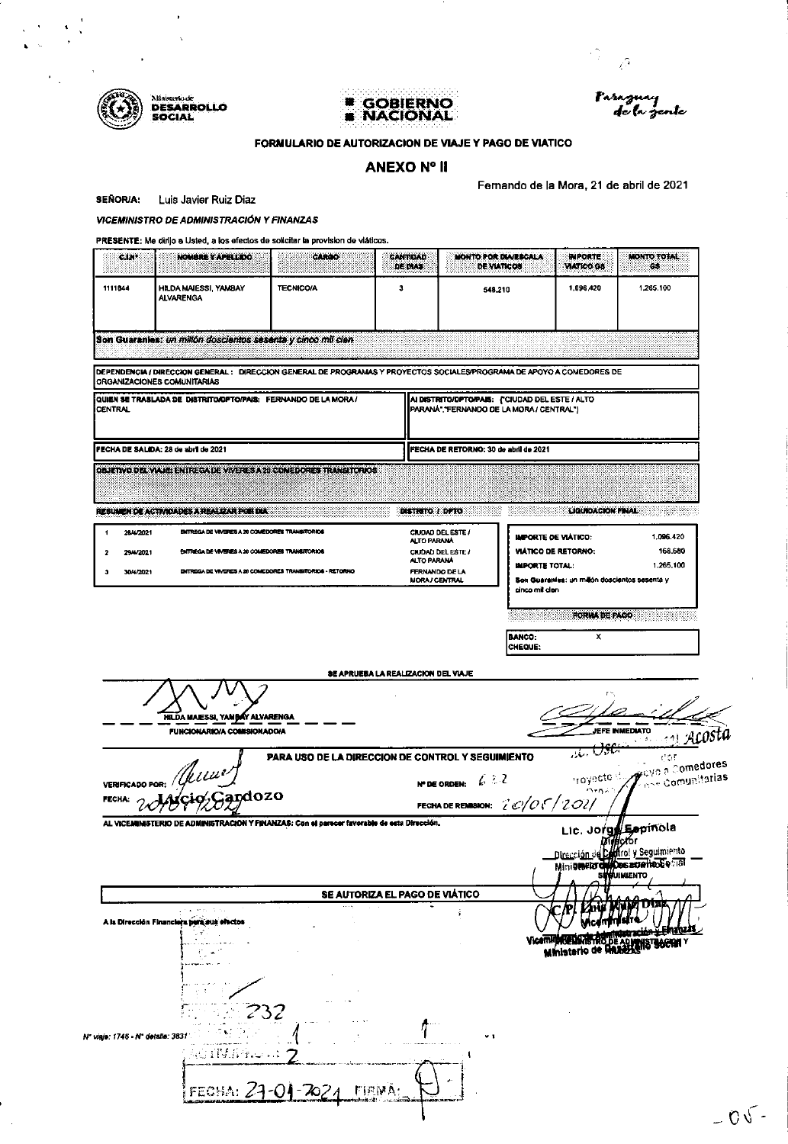Ministriade<br>DESARROLLO<br>SOCIAL





 $\hat{\alpha}_{\alpha}$ 

#### FORMULARIO DE AUTORIZACION DE VIAJE Y PAGO DE VIATICO

## **ANEXO Nº II**

Fernando de la Mora, 21 de abril de 2021

**SEÑOR/A:** Luis Javier Ruiz Diaz

**VICEMINISTRO DE ADMINISTRACIÓN Y FINANZAS** 

| 1111844                |                                                                                                                                                      |                                                   | DE DIAS:                             | <b>DE VIATICOS</b>                                                                         |                                                   | <b>MATICO GS</b>                              | 68                                                                                                             |
|------------------------|------------------------------------------------------------------------------------------------------------------------------------------------------|---------------------------------------------------|--------------------------------------|--------------------------------------------------------------------------------------------|---------------------------------------------------|-----------------------------------------------|----------------------------------------------------------------------------------------------------------------|
|                        | HILDA MAIESSI, YAMBAY<br><b>ALVARENGA</b>                                                                                                            | <b>TECNICO/A</b>                                  | 3                                    | 548,210                                                                                    |                                                   | 1,096,420                                     | 1,265.100                                                                                                      |
|                        | Son Guaranies: un millón doscientos sesenta y cinco mil cien-                                                                                        |                                                   |                                      |                                                                                            |                                                   |                                               |                                                                                                                |
|                        | DEPENDENCIA / DIRECCION GENERAL: DIRECCION GENERAL DE PROGRAMAS Y PROYECTOS SOCIALES/PROGRAMA DE APOYO A COMEDORES DE<br>ORGANIZACIONES COMUNITARIAS |                                                   |                                      |                                                                                            |                                                   |                                               |                                                                                                                |
|                        | QUIEN SE TRASLADA DE DISTRITO/DPTO/PAIS: FERNANDO DE LA MORA /                                                                                       |                                                   |                                      | AI DISTRITO/DPTO/PAIS: ("CIUDAD DEL ESTE / ALTO<br>PARANA, FERNANDO DE LA MORA / CENTRAL") |                                                   |                                               |                                                                                                                |
|                        | FECHA DE SALIDA: 28 de abril de 2021                                                                                                                 |                                                   |                                      | FECHA DE RETORNO: 30 de abril de 2021                                                      |                                                   |                                               |                                                                                                                |
|                        | OBJETIVO DEL VALIE: ENTREGA DE VIVERES A 29 CONEDORES TRANSITORIOS                                                                                   |                                                   |                                      |                                                                                            |                                                   |                                               |                                                                                                                |
|                        | <b>RESUMEN DE ACTIVIDADES À REALIZAR POR DIA:</b>                                                                                                    |                                                   | DISTRITO / DPTO                      |                                                                                            |                                                   | <b>LIGURDACION FINAL</b>                      |                                                                                                                |
| 28-4/2021<br>29-4/2021 | ENTREGA DE VIVERES A 20 COMÉDORES TRANSITORIOS<br>ENTREGA DE VIVERIES A 20 COMEDORIES TRANSITORIOS                                                   |                                                   | ALTO PARANA                          | <b>CIUDAD DEL ESTE /</b><br>CIUDAD DEL ESTE /                                              | IMPORTE DE VIÁTICO:<br><b>VIATICO DE RETORNO:</b> |                                               | 1.096.420<br>168.680                                                                                           |
| 30 4/2021              | ENTREGA DE VIVERES A 20 COMEDORES TRANSITORIOS - RETORNO                                                                                             |                                                   | ALTO PARANA<br><b>MORA / CENTRAL</b> | FERNANDO DE LA                                                                             | <b>IMPORTE TOTAL:</b>                             | Son Guaranies: un milión doscientos sesenta y | 1,265,100                                                                                                      |
|                        |                                                                                                                                                      |                                                   |                                      |                                                                                            | cinco mil cien                                    | <b>FORMA DE PAGO</b>                          |                                                                                                                |
|                        |                                                                                                                                                      |                                                   |                                      |                                                                                            |                                                   | x                                             | - 1999 - 1999                                                                                                  |
|                        |                                                                                                                                                      |                                                   |                                      |                                                                                            | <b>BANCO:</b>                                     |                                               |                                                                                                                |
|                        | HILDA MAIESSI, YAMBAY ALVARENGA                                                                                                                      |                                                   | SE APRUEBA LA REALIZACION DEL VIAJE  |                                                                                            | CHEQUE:                                           |                                               |                                                                                                                |
|                        | <b>FUNCIONARIO/A COMISIONADO/A</b>                                                                                                                   | PARA USO DE LA DIRECCION DE CONTROL Y SEGUIMIENTO |                                      | 6.2.2<br><b>N° DE ORDEN:</b>                                                               |                                                   | <u>ಸ್ತು ರಾ</u> ಕ                              | <b>JEFE INMEDIATO</b><br>2014年1月17日<br>$\mathfrak{t}^{\pm} \cap \mathfrak{t}$<br>troyecto de grove a Comedores |
|                        | VERIFICADO POR: ///LUU2<br>ardozo                                                                                                                    |                                                   |                                      | FECHA DE REMISION: $2007/202/$                                                             |                                                   | in as t                                       | $\tau_{\rm esc}$ comunitarias                                                                                  |
|                        | AL VICEMINISTERIO DE ADMINISTRACIÓN Y FINANZAS: Con el parecer favorable de esta Dirección.                                                          |                                                   |                                      |                                                                                            |                                                   |                                               | Lic. Jorge Espínola<br>Dirección de Califrol y Seguimiento                                                     |
|                        |                                                                                                                                                      |                                                   | SE AUTORIZA EL PAGO DE VIÁTICO       |                                                                                            |                                                   |                                               | Minierer de Des arreites Eval                                                                                  |
| <b>FECHA:</b>          | A la Dirección Financiara pera sus efectos                                                                                                           |                                                   |                                      |                                                                                            |                                                   |                                               | Ministerio de Aquino de Secial                                                                                 |
|                        | 232                                                                                                                                                  |                                                   |                                      |                                                                                            |                                                   |                                               |                                                                                                                |
|                        | Nº viaje: 1746 - Nº detalle: 3831'<br>ACTIVATION:                                                                                                    |                                                   |                                      | $\vee$ 1                                                                                   |                                                   |                                               |                                                                                                                |
|                        | FECHA:                                                                                                                                               | ZOZA                                              | <b>FIRMA:</b>                        |                                                                                            |                                                   |                                               |                                                                                                                |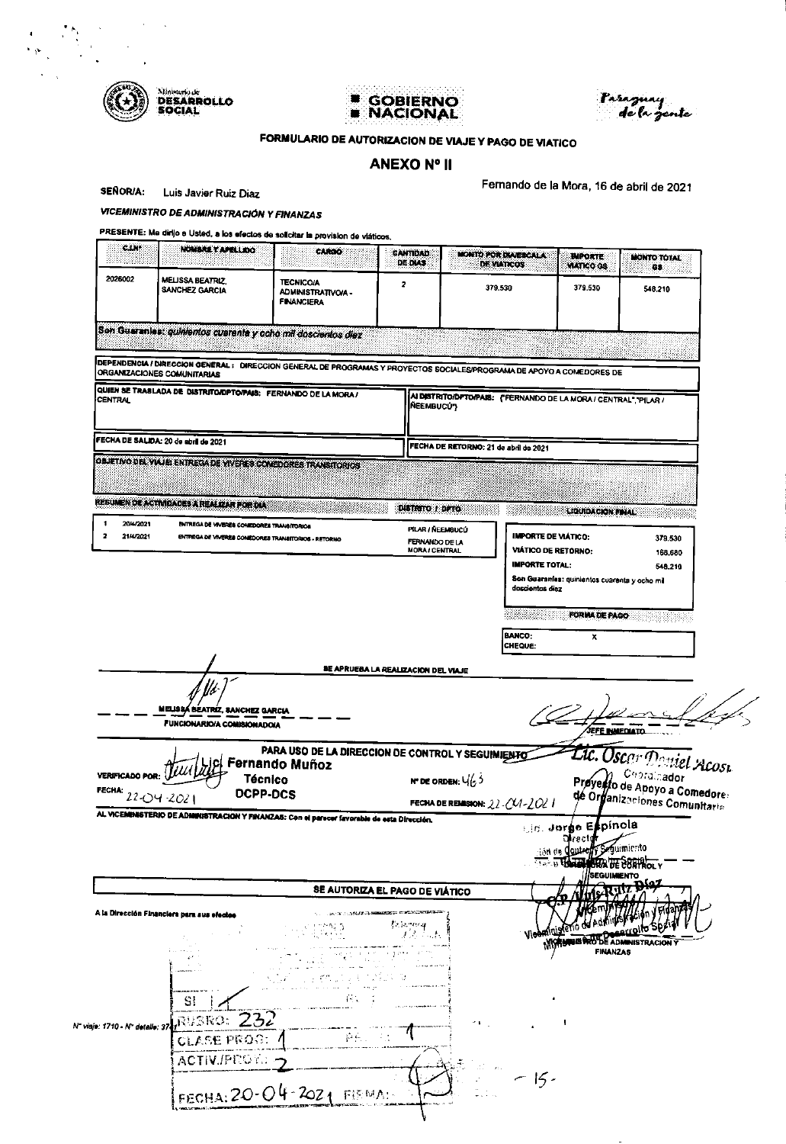

 $\alpha$  $\sim$ 

 $\begin{array}{l} \mathcal{L}_{\mathcal{G}} \subset \mathcal{L} \\ \mathcal{L}_{\mathcal{G}} \subset \mathcal{L} \end{array}$ 

# **E GOBIERNO**<br>**E NACIONAL**



## FORMULARIO DE AUTORIZACION DE VIAJE Y PAGO DE VIATICO

## **ANEXO Nº II**

**SEÑOR/A:** Luis Javier Ruiz Diaz Fernando de la Mora, 16 de abril de 2021

VICEMINISTRO DE ADMINISTRACIÓN Y FINANZAS

| 2026002                              |                                                                                                                                                       |                                                                     | <b>CANTIDAD</b><br><b>DE DIAS</b>       | <b>MONTO POR DIAVERCALA</b><br><b>DE VIATICOS</b>                 | <b><i>UMPORTE:</i></b><br><b>VIATICO GS</b>                                              | <b>MONTO TOTAL</b><br>68                                     |
|--------------------------------------|-------------------------------------------------------------------------------------------------------------------------------------------------------|---------------------------------------------------------------------|-----------------------------------------|-------------------------------------------------------------------|------------------------------------------------------------------------------------------|--------------------------------------------------------------|
|                                      | MELISSA BEATRIZ,<br>SANCHEZ GARCIA                                                                                                                    | <b>TECNICO/A</b><br>ADMINISTRATIVO/A -<br><b>FINANCIERA</b>         | 2                                       | 379.530                                                           | 379.530                                                                                  | 548.210                                                      |
|                                      | Son Guaranias: quinientos cuarenta y ocho mil doscientos diaz                                                                                         |                                                                     |                                         |                                                                   |                                                                                          |                                                              |
|                                      | DEPENDENCIA / DIRECCION GENERAL : DIRECCION GENERAL DE PROGRAMAS Y PROYECTOS SOCIALES/PROGRAMA DE APOYO A COMEDORES DE<br>ORGANIZACIONES COMUNITARIAS |                                                                     |                                         |                                                                   |                                                                                          |                                                              |
| <b>CENTRAL</b>                       | QUIEN SE TRASLADA DE DISTRITO/DPTO/PAIS: FERNANDO DE LA MORA /                                                                                        |                                                                     | <b>NEEMBUCÚ3</b>                        | AI DISTRITO/DPTO/PAIS: ("FERNANDO DE LA MORA / CENTRAL", "PILAR / |                                                                                          |                                                              |
|                                      | FECHA DE SALIDA: 20 de abril de 2021                                                                                                                  |                                                                     |                                         | FECHA DE RETORNO: 21 de abril de 2021                             |                                                                                          |                                                              |
|                                      | OBJETIVO DEL VIAJE: ENTREGADE VIVERES COMEDORES TRANSITORIOS<br>REBUNEN DE ACTIVIDADES À REALIZAR POR DIA                                             |                                                                     |                                         |                                                                   |                                                                                          |                                                              |
| 20/4/2021                            | ENTREGA DE VIVERES COMEDORES TRANSITORIOS                                                                                                             |                                                                     | DISTRITO I DATO<br>PILAR NEEMBUCU       |                                                                   | <b>LIQUIDACION FINAL</b>                                                                 |                                                              |
| $\overline{\mathbf{z}}$<br>21-4/2021 | ENTREGA DE VIVERES COMEDORES TRANSITORIOS - RETORNO                                                                                                   |                                                                     | FERNANDO DE LA<br><b>MORA / CENTRAL</b> |                                                                   | <b>IMPORTE DE VIÁTICO:</b><br><b>VIÁTICO DE RETORNO:</b>                                 | 379.530<br>168.680                                           |
|                                      |                                                                                                                                                       |                                                                     |                                         |                                                                   | <b>IMPORTE TOTAL:</b><br>Son Guaranías: quinientos cuarenta y ocho mi<br>doscientos diez | 548.210                                                      |
|                                      |                                                                                                                                                       |                                                                     |                                         |                                                                   | FORMA DE PAGO                                                                            |                                                              |
|                                      |                                                                                                                                                       |                                                                     |                                         | <b>BANCO:</b>                                                     | x                                                                                        |                                                              |
|                                      |                                                                                                                                                       |                                                                     |                                         | CHEQUE:                                                           |                                                                                          |                                                              |
|                                      |                                                                                                                                                       |                                                                     | BE APRUEBA LA REALIZACION DEL VIAJE     |                                                                   |                                                                                          |                                                              |
|                                      | MELISSA BEATRIZ, SANCHEZ GARCIA<br>FUNCIONARIO/A COMISIONADO/A                                                                                        |                                                                     |                                         |                                                                   |                                                                                          | JEF <u>E INMEDIATO</u> .                                     |
|                                      |                                                                                                                                                       | PARA USO DE LA DIRECCION DE CONTROL Y SEGUIMIENTO<br>Fernando Muñoz |                                         |                                                                   |                                                                                          |                                                              |
|                                      | <b>Técnico</b>                                                                                                                                        |                                                                     |                                         | <b>N' DE ORDEN:</b> $\sqrt{63}$                                   |                                                                                          | Doniel Acost                                                 |
|                                      | <b>DCPP-DCS</b><br>22-04-2021                                                                                                                         |                                                                     |                                         | FECHA DE REMISION: 22-CV1-2021                                    |                                                                                          | Preyesto de Apoyo a Comedore:<br>de Organizaciones Comedore: |
|                                      | AL VICEMBASTERIO DE ADMINISTRACION Y FINANZAS: Con el parson favorable de esta Dirección,                                                             |                                                                     |                                         |                                                                   | Lin. Jorge Espínola                                                                      |                                                              |
|                                      |                                                                                                                                                       |                                                                     |                                         |                                                                   | ុគ្គ។ ៧ឆ្                                                                                | egumiento                                                    |
|                                      |                                                                                                                                                       | SE AUTORIZA EL PAGO DE VIÁTICO                                      |                                         |                                                                   |                                                                                          | <b>SEGUIMENTO</b>                                            |
|                                      | A la Dirección Financiera para sus efectos                                                                                                            |                                                                     |                                         |                                                                   |                                                                                          |                                                              |
|                                      |                                                                                                                                                       |                                                                     |                                         |                                                                   |                                                                                          |                                                              |
|                                      | -------                                                                                                                                               |                                                                     |                                         |                                                                   |                                                                                          | <b>FINANZAS</b>                                              |
| VERIFICADO POR:<br>FECHA:            |                                                                                                                                                       | i ny many tanàna a                                                  |                                         |                                                                   |                                                                                          |                                                              |
|                                      | SI.                                                                                                                                                   |                                                                     |                                         |                                                                   |                                                                                          |                                                              |
| N" viaje: 1710 - N" detaile: 37.     | RUBRO: $232$<br><b>CLASE PROG:</b> /                                                                                                                  |                                                                     |                                         |                                                                   |                                                                                          |                                                              |
|                                      | ACTIV./PEGY.                                                                                                                                          |                                                                     |                                         |                                                                   | $-15-$                                                                                   |                                                              |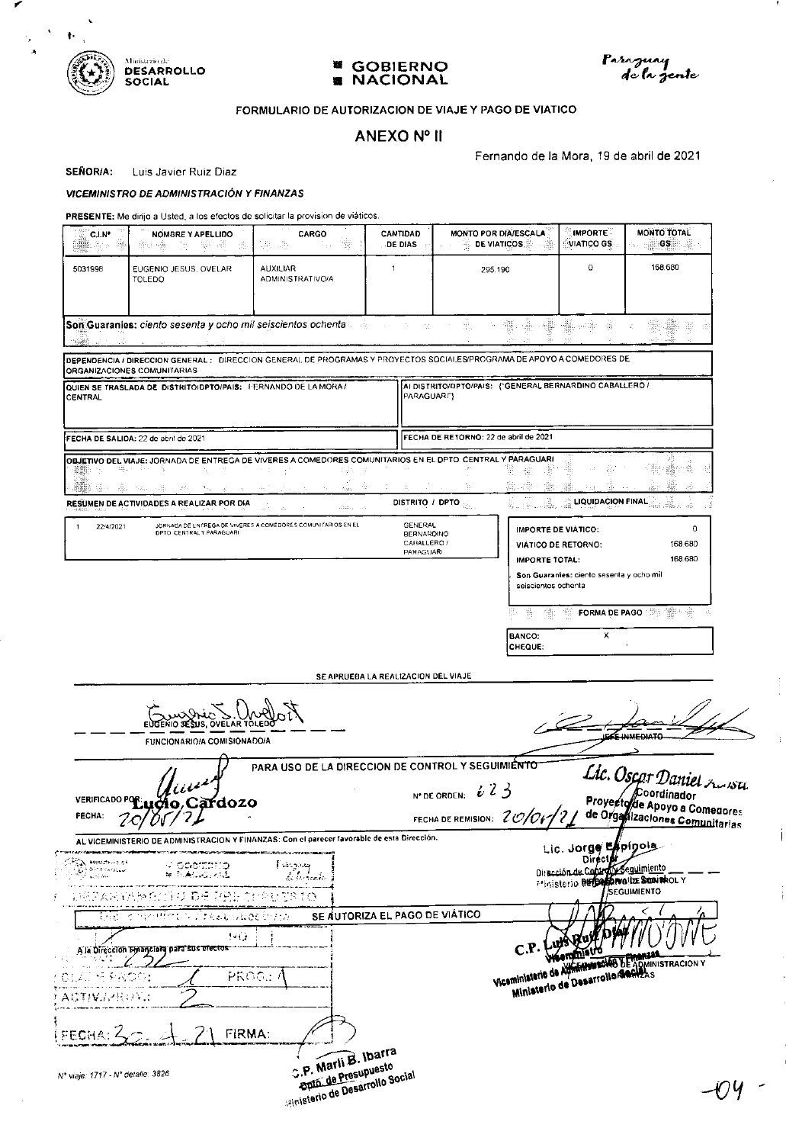

╭

 $\lambda_{\rm g}$  .  $\bar{A}$   $\hat{\mathbf{v}}$ 





Ť

İ

ł

## FORMULARIO DE AUTORIZACION DE VIAJE Y PAGO DE VIATICO

## ANEXO Nº II

Fernando de la Mora, 19 de abril de 2021

SEÑOR/A: Luis Javier Ruiz Diaz

#### VICEMINISTRO DE ADMINISTRACIÓN Y FINANZAS

| $C1N^*$<br>膃鼬 生い 様                                    | NOMBRE Y APELLIDO<br>- 앞에 죽다<br>함도 ~@<br>-25 F<br>-59,                                                                                                                                                                   | <b>CARGO</b><br>4. 镰                                                                                                                               | <b>CANTIDAD</b><br>DE DIAS                                      | MONTO POR DIA/ESCALA<br><b>DE VIATICOS</b><br>동                                                                       | <b>IMPORTE</b><br>VIATICO GS.                                                                                    | <b>MONTO TOTAL</b><br><b>GS</b><br>.※                                                      |
|-------------------------------------------------------|--------------------------------------------------------------------------------------------------------------------------------------------------------------------------------------------------------------------------|----------------------------------------------------------------------------------------------------------------------------------------------------|-----------------------------------------------------------------|-----------------------------------------------------------------------------------------------------------------------|------------------------------------------------------------------------------------------------------------------|--------------------------------------------------------------------------------------------|
| 5031998                                               | EUGENIO JESUS, OVELAR<br>TOLEDO                                                                                                                                                                                          | <b>AUXILIAR</b><br>ADMINISTRATIVO/A                                                                                                                | $\mathbf{1}$                                                    | 295.190                                                                                                               | 0                                                                                                                | 168.680                                                                                    |
|                                                       | Son Guaranies: ciento sesenta y ocho mil seiscientos ochenta and announcemento and announcemento and series and                                                                                                          |                                                                                                                                                    | -56                                                             | 靈<br>뺉<br>YE.<br>그룹이                                                                                                  | ∰ • \$<br>梅                                                                                                      | 대표                                                                                         |
|                                                       | ORGANIZACIONES COMUNITARIAS                                                                                                                                                                                              |                                                                                                                                                    |                                                                 | DEPENDENCIA / DIRECCION GENERAL: DIRECCION GENERAL DE PROGRAMAS Y PROYECTOS SOCIALES/PROGRAMA DE APOYO A COMEDORES DE |                                                                                                                  |                                                                                            |
| CENTRAL                                               | QUIEN SE TRASLADA DE DISTRITO/DPTO/PAIS: FERNANDO DE LA MORA/                                                                                                                                                            |                                                                                                                                                    | PARAGUARI")                                                     | AI DISTRITO/DPTO/PAIS: ("GENERAL BERNARDINO CABALLERO /                                                               |                                                                                                                  |                                                                                            |
|                                                       | FECHA DE SALIDA: 22 de abril de 2021                                                                                                                                                                                     |                                                                                                                                                    |                                                                 | FECHA DE RETORNO: 22 de abril de 2021                                                                                 |                                                                                                                  |                                                                                            |
| ▓▓☆ (#2015)                                           | OBJETIVO DEL VIAJE: JORNADA DE ENTREGA DE VIVERES A COMEDORES COMUNITARIOS EN EL DPTO. CENTRAL Y PARAGUARI<br>化二甲<br>4월 800 dia 1982 (1982) dia 1982<br>of the court of the<br>RESUMEN DE ACTIVIDADES A REALIZAR POR DIA | 16 T<br>박사<br>$\frac{1}{\sqrt{1000}}$<br>÷                                                                                                         | $\mathcal{L}_{\rm{c}}$                                          | 쨻<br>36.48.<br>-989<br>b.<br>il Tual<br>DISTRITO / DPTO                                                               | -56<br>æ<br><b>LIQUIDACION FINAL</b><br>ú.                                                                       | e vär<br>GB≥<br>r ŵ<br>-38<br>靈<br>àn<br>ù li<br>αö                                        |
| 22/4/2021<br>-1                                       | DPTO CENTRAL Y PARAGUARI                                                                                                                                                                                                 | $\mathcal{L}(\Omega_{\text{K}})_{\text{L}}$ , $\mathcal{L}(\mathcal{L})$<br>JORNADA DE ENTREGA DE VIVERES A COMEDORES COMUNITARIOS EN EL           | GENERAL<br><b>BERNARDINO</b><br>CABALLERO /<br><b>PARAGUARI</b> | <b>IMPORTE DE VIATICO:</b><br><b>IMPORTE TOTAL:</b><br>seiscientos ochenta                                            | <b>VIÁTICO DE RETORNO:</b><br>Son Guaranies: ciento sesenta y ocho mil                                           | 0<br>168.680<br>168.680                                                                    |
|                                                       | EUGENIO SESUS. OVELAR                                                                                                                                                                                                    |                                                                                                                                                    | SE APRUEBA LA REALIZACION DEL VIAJE                             | 鞍<br>38<br><b>BANCO:</b><br>CHEQUE:                                                                                   | <b>FORMA DE PAGO</b><br>X.                                                                                       | 4뼒~ 광                                                                                      |
|                                                       | <b>FUNCIONARIO/A COMISIONADO/A</b>                                                                                                                                                                                       |                                                                                                                                                    |                                                                 |                                                                                                                       |                                                                                                                  | LEFE INMEDIATO                                                                             |
| <b>VERIFICADO POR</b><br><b>FECHA:</b>                | udio,Cardozo                                                                                                                                                                                                             | PARA USO DE LA DIRECCION DE CONTROL Y SEGUIMIENTO                                                                                                  |                                                                 | N° DE ORDEN: $\boldsymbol{i}$ $\boldsymbol{i}$ $\boldsymbol{j}$<br>FECHA DE REMISION: 201011                          |                                                                                                                  | Lic. Oscar Daniel Andsu<br>Proyecto de Apoyo a Comedores<br>de Organizaciones Comunitarias |
| 200 < 40<br>- 53 -<br>THOMAS GLU<br><b>Contractor</b> | AL VICEMINISTERIO DE ADMINISTRACION Y FINANZAS: Con el parecer favorable de esta Dirección.<br>IN GROIDDEO<br>IR PLACHOLKAL<br>リード・コン                                                                                    | des batten de temperatura en el component de la propie de la propie de la propie de la propie de la propie de<br>ومحوجه إ<br>al sertante.<br>CIRIO |                                                                 |                                                                                                                       | Lic. Jorge Expinols.<br>Dir ect<br>Dirección de Contro Di Seguimiento<br>Prinisterio Bergardi waltze Soniako L Y | <b>SEGUIMIENTO</b>                                                                         |
| ina.                                                  | アナらんしゃねごと シワカ<br>1월 19일 49년 전 1월 1일<br>대한민국의 대한민국의 대한민국의 대한민국의 대한민국의 1월 19일<br>1월 19일 4월 19일 4월 19일 4월 19일 4월 19일 4월 19일 4월 19일 4월 19일 4월 19일 4월 19일 4월 19일 4월 19일 4월 19일 4월 19일 4월 19일 4월 1                             |                                                                                                                                                    | SE AUTORIZA EL PAGO DE VIÁTICO                                  |                                                                                                                       |                                                                                                                  |                                                                                            |
|                                                       | ,ч (у<br>A la Dirección Emanción, para sus efectos                                                                                                                                                                       |                                                                                                                                                    |                                                                 |                                                                                                                       |                                                                                                                  |                                                                                            |
| GLAS Y KNOW<br>AGTIVAZKO U                            | PROG:                                                                                                                                                                                                                    |                                                                                                                                                    |                                                                 |                                                                                                                       |                                                                                                                  |                                                                                            |
| (FECHA: 4                                             | <b>FIRMA:</b>                                                                                                                                                                                                            |                                                                                                                                                    |                                                                 |                                                                                                                       |                                                                                                                  |                                                                                            |
| Nº viaje: 1717 - Nº detalle: 3826                     |                                                                                                                                                                                                                          | C.P. Marli B. Ibarra<br><b>Apto. de Presupuesto</b><br>Hinisterio de Desarrollo Social                                                             |                                                                 |                                                                                                                       |                                                                                                                  |                                                                                            |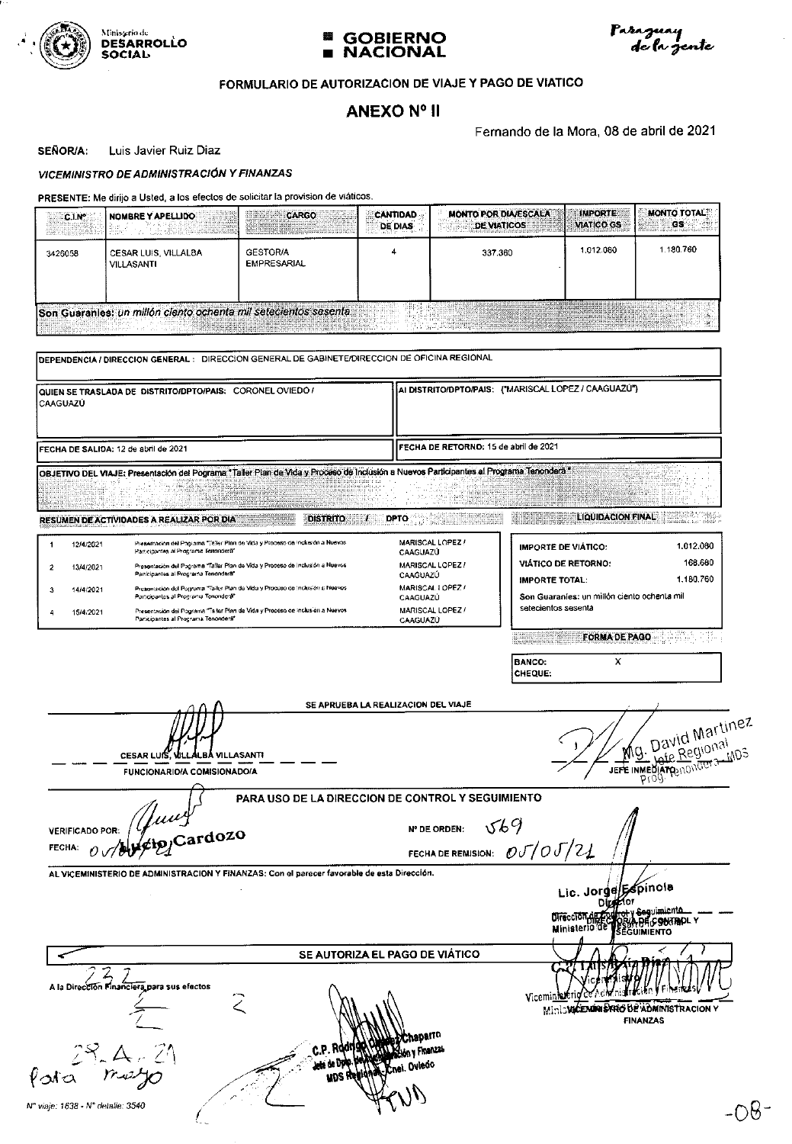





## FORMULARIO DE AUTORIZACION DE VIAJE Y PAGO DE VIATICO

## **ANEXO Nº II**

Fernando de la Mora, 08 de abril de 2021

**SEÑOR/A:** Luis Javier Ruiz Diaz

**VICEMINISTRO DE ADMINISTRACIÓN Y FINANZAS** 

| ≕C.I.N°<br>Williams :        | I NOMBRE Y APELLIDO                                             | a temperatura de congris congris e<br><b>CONTRACTOR</b> CONTRACTOR<br><b>President</b> | <b>CANTIDAD</b><br><b>DE DIAS</b><br>and a state | <b>MONTO POR DIA/ESCALA</b><br><b>DE VIATICOS</b>                                                                                                                                                                              | <b>IMPORTE:</b><br><b>VIATICO GS</b> | I RIBBER OS SERVER |
|------------------------------|-----------------------------------------------------------------|----------------------------------------------------------------------------------------|--------------------------------------------------|--------------------------------------------------------------------------------------------------------------------------------------------------------------------------------------------------------------------------------|--------------------------------------|--------------------|
| 3426058                      | CESAR LUIS, VILLALBA<br><b>VILLASANTI</b>                       | <b>GESTORIA</b><br><b>EMPRESARIAL</b>                                                  |                                                  | 337.360                                                                                                                                                                                                                        | 1.012.080                            | 1.180.760          |
| ressemble difference and any | Son Guaranies: un millón ciento ochenta mil setecientos sesenta | <u> 1989 - Johann Stein, Amerikaansk politiker († 1989)</u>                            |                                                  | The second contract of the contract of the contract of the contract of the contract of the contract of the contract of the contract of the contract of the contract of the contract of the contract of the contract of the con |                                      |                    |

| CAAGUAZU                    | QUIEN SE TRASLADA DE DISTRITO/DPTO/PAIS: CORONEL OVIEDO /                                                                               | AI DISTRITO/DPTO/PAIS: {"MARISCAL LOPEZ / CAAGUAZU"}<br>FECHA DE RETORNO: 15 de abril de 2021 |                                                                                   |  |  |  |
|-----------------------------|-----------------------------------------------------------------------------------------------------------------------------------------|-----------------------------------------------------------------------------------------------|-----------------------------------------------------------------------------------|--|--|--|
|                             | FECHA DE SALIDA: 12 de abril de 2021                                                                                                    |                                                                                               |                                                                                   |  |  |  |
|                             | OBJETIVO DEL VIAJE: Presentación del Pograma *Taller Plan de Vida y Proceso de Inclusión a Nuevos Participantes al Programa Tenondera * |                                                                                               |                                                                                   |  |  |  |
|                             |                                                                                                                                         |                                                                                               |                                                                                   |  |  |  |
|                             | <b>DISTRITO</b><br>RESUMEN DE ACTIVIDADES A REALIZAR POR DIA                                                                            | <b>DPTO</b>                                                                                   | <b>LIQUIDACION FINAL</b>                                                          |  |  |  |
| 12/4/2021<br>-1             | Presentación del Pograma "l'aller Plan de Vida y Proceso de Inclusión a Nuevos<br>Participantes al Programa Terrondera"                 | MARISCAL LOPEZ /<br>CAAGUAZU                                                                  | 1.012.080<br><b>IMPORTE DE VIÁTICO:</b>                                           |  |  |  |
| $\overline{2}$<br>13/4/2021 | Presentación del Pograma "Tallar Plan de Vida y Proceso de inclusión a Nuevos<br>Participantes al Programa Tenonderà"                   | MARISCAL LOPEZ /<br>CAAGUAZÚ                                                                  | 168.660<br><b>VIÁTICO DE RETORNO:</b>                                             |  |  |  |
| 3<br>14/4/2021              | Presentación del Pograma "Taller Plan de Vida y Proceso de Inclusión a Nuevos<br>Participantes al Programa Tenondera"                   | MARISCAL LOPEZ /<br>CAAGUAZÚ                                                                  | 1.180.760<br><b>IMPORTE TOTAL:</b><br>Son Guaranies: un millón ciento ochenta mil |  |  |  |
| 15/4/2021<br>4              | Presentación del Pograma "Taller Flan de Vida y Proceso de Inclusión a Nuevos<br>Participantes al Programa Tenonderà"                   | MARISCAL LOPEZ /<br>CAAGUAZU                                                                  | setecientos sesenta                                                               |  |  |  |
|                             |                                                                                                                                         |                                                                                               | <b>FORMA DE PAGO</b>                                                              |  |  |  |
|                             |                                                                                                                                         |                                                                                               | <b>BANCO:</b><br>x                                                                |  |  |  |
|                             |                                                                                                                                         |                                                                                               | CHEQUE:                                                                           |  |  |  |
|                             |                                                                                                                                         |                                                                                               |                                                                                   |  |  |  |
|                             | <b>CESAR LUIS, VILLALBA VILLASANTI</b><br>FUNCIONARIO/A COMISIONADO/A                                                                   |                                                                                               |                                                                                   |  |  |  |
| <b>VERIFICADO POR:</b>      | PARA USO DE LA DIRECCION DE CONTROL Y SEGUIMIENTO                                                                                       | <b>N° DE ORDEN:</b>                                                                           | The International Martines<br>569                                                 |  |  |  |
| FECHA:                      | Hung                                                                                                                                    |                                                                                               | FECHA DE REMISION: $\mathcal{O}\mathcal{J}/\mathcal{O}\mathcal{J}/2\mathcal{L}$   |  |  |  |
|                             | AL VICEMINISTERIO DE ADMINISTRACION Y FINANZAS: Con el parecer favorable de esta Dirección.                                             |                                                                                               | Lic. Jorge/Espinola                                                               |  |  |  |
|                             |                                                                                                                                         |                                                                                               | <b>Sequimicnto</b><br>Ministerio de<br>EGUIMIENTO                                 |  |  |  |
|                             |                                                                                                                                         | SE AUTORIZA EL PAGO DE VIÁTICO                                                                |                                                                                   |  |  |  |
|                             | A la Dirección Financiera para sus efectos                                                                                              |                                                                                               | Vicemi <u>n</u><br>Ministricturing SARG BE ADMINISTRACION<br><b>FINANZAS</b>      |  |  |  |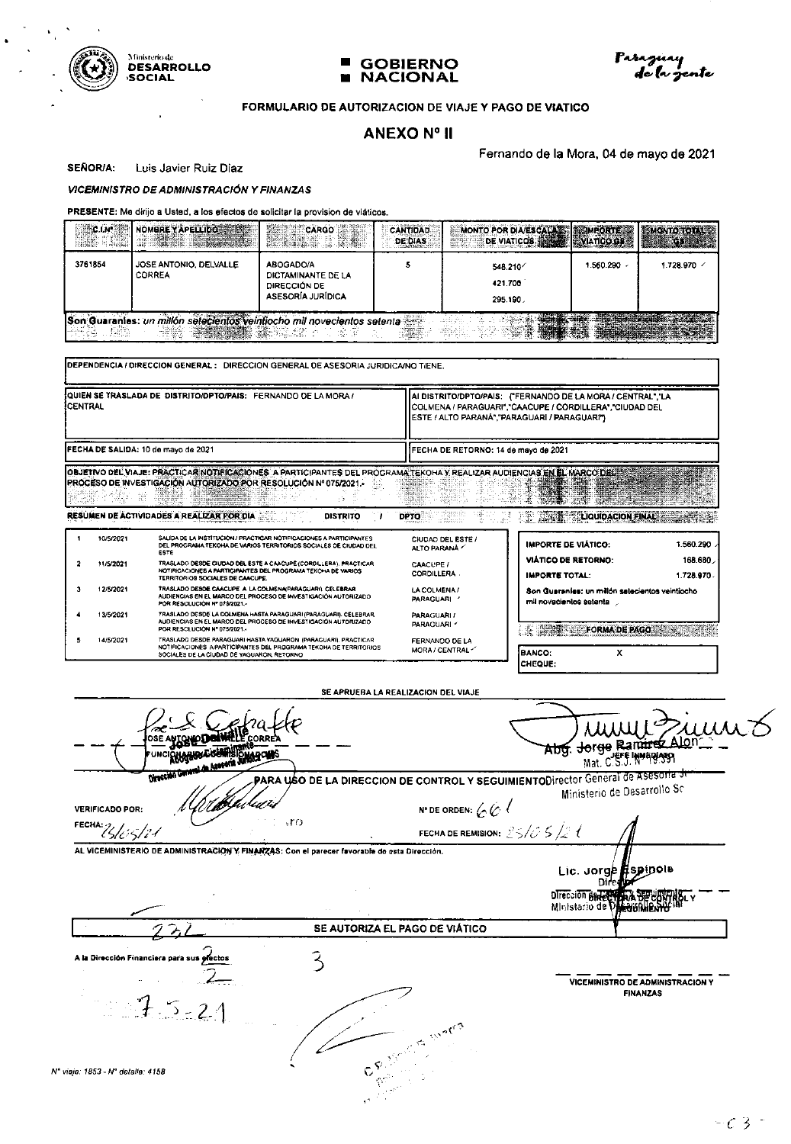



#### FORMULARIO DE AUTORIZACION DE VIAJE Y PAGO DE VIATICO

## **ANEXO Nº II**

Fernando de la Mora, 04 de mayo de 2021

1: No. (2010) 1982-2003 Territory and Party 2001 2002 2003

SEÑOR/A: Luis Javier Ruiz Diaz

#### **VICEMINISTRO DE ADMINISTRACIÓN Y FINANZAS**

**DESINEN DE APTURADES A DEALTRAS DAGINALES DE** 

#### PRESENTE: Me dirijo a Usted, a los efectos de solicitar la provision de viáticos.

|         | NOMBRE YAPELLIDO                                                                        | <b>CARGO</b><br>an a tha an<br>e na                                         | CANTIDAD<br>DE DIAS | MONTO POR DIA/ESCALA & MPORTE<br>DE VIATICOS |           | <b>MONTO TOTAL AS</b> |
|---------|-----------------------------------------------------------------------------------------|-----------------------------------------------------------------------------|---------------------|----------------------------------------------|-----------|-----------------------|
| 3761854 | JOSE ANTONIO, DELVALLE<br>CORREA                                                        | ABOGADO/A<br>DICTAMINANTE DE LA<br>DIRECCIÓN DE<br><b>ASESORÍA JURÍDICA</b> |                     | 548.210<br>421.700<br>295.190.               | 1.560.200 | 1.728.970 /           |
| 情報      | Son Guarantes: un millon selecientos veintiocho mil novecientos setenta<br><b>Sense</b> |                                                                             |                     |                                              |           |                       |

DEPENDENCIA / DIRECCION GENERAL : DIRECCION GENERAL DE ASESORIA JURIDICA/NO TIENE.

| <b>JOUIEN SE TRASLADA DE DISTRITO/DPTO/PAIS: FERNANDO DE LA MORA /</b><br><b>ICENTRAL</b>                                | HAI DISTRITO/DPTO/PAIS: ("FERNANDO DE LA MORA / CENTRAL", LA<br>HCOLMENA / PARAGUARI","CAACUPE / CORDILLERA","CIUDAD DEL<br><b>ILESTE / ALTO PARANÁ" "PARAGUARI / PARAGUARI")</b> |
|--------------------------------------------------------------------------------------------------------------------------|-----------------------------------------------------------------------------------------------------------------------------------------------------------------------------------|
| <b>IFECHA DE SALIDA: 10 de mayo de 2021</b>                                                                              | I IFECHA DE RETORNO: 14 de mayo de 2021                                                                                                                                           |
| OBJETIVO DEL VIAJE: PRACTICAR NOTIFICACIONES A PARTICIPANTES DEL PROGRAMA TEKOHA Y REALIZAR AUDIENCIAS EN EL MARCO DEL S |                                                                                                                                                                                   |

PROCESO DE INVESTIGACIÓN AUTORIZADO POR RESOLUCIÓN Nº 075/2021 i. - S

**DIETELTO** 

| 10/5/2021 | SALIDA DE LA INSTITUCIÓN / PRACTICAR NOTIFICACIONES A PARTICIPANTES<br>DEL PROGRAMA TEKOHA DE VARIOS TERRITORIOS SOCIALES DE CIUDAD DEL<br>ESTE                                    | CIUDAD DEL ESTE /<br>ALTO PARANA   | <b>IMPORTE DE VIÁTICO:</b>                                                 | 1.560.290            |
|-----------|------------------------------------------------------------------------------------------------------------------------------------------------------------------------------------|------------------------------------|----------------------------------------------------------------------------|----------------------|
| 11/5/2021 | TRASLADO DESDE CIUDAD DEL ESTE A CAACUPÉ (CORDILLERA), PRACTICAR<br>NOTIFICACIONES A PARTICIPANTES DEL PROGRAMA TEKOHA DE VARIOS<br>TERRITORIOS SOCIALES DE CAACUPE.               | CAACUPE /<br><b>CORDILLERA.</b>    | <b>VIÁTICO DE RETORNO:</b><br><b>IMPORTE TOTAL:</b>                        | 168.680<br>1.728.970 |
| 12/5/2021 | TRASLADO DESDE CAACUPE A LA COLMENAPARAGUARI), CELEBRAR<br>AUDIENCIAS EN EL MARCO DEL PROCESO DE INVESTIGACIÓN AUTORIZADO<br>POR RESOLUCION Nº 075/2021.-                          | LA COLMENA /<br><b>PARAGUARI</b>   | Son Guaranies: un millón salacientos veintiocho<br>mil novacientos setenta |                      |
| 13/5/2021 | TRASLADO DESDE LA COLMENA HASTA PARAGUARI (PARAGUARI). CELEBRAR<br>AUDIENCIAS EN EL MARCO DEL PROCESO DE INVESTIGACIÓN AUTORIZADO<br>POR RESOLUCIÓN Nº 075/2021.                   | <b>PARAGUARLI</b><br>PARACUARI *   | <b>E DIRECT FORMADE PAGO</b>                                               |                      |
| 14/5/2021 | TRASLADO DESDE PARAGUARI HASTA YAGUARON (PARAGUARI), PRACTICAR<br>NOTIFICACIONES A PARTICIPANTES DEL PROGRAMA TEKOHA DE TERRITORIOS.<br>SOCIALES DE LA CIUDAD DE YAGUARON, RETORNO | FERNANDO DE LA<br>MORA / CENTRAL Y | <b>BANCO:</b><br>́                                                         |                      |

SE APRUEBA LA REALIZACION DEL VIAJE

**ANGHOD** CORRI Abg. Jerge Ramir Ι٥ι **THARIOUS COMMIT** Mat. C.S.J. NWEBIASO W PARA USO DE LA DIRECCION DE CONTROL Y SEGUIMIENTODIrector General de Asesoria **Turnets** Ministerio de Desarrollo Sc N° DE ORDEN:  $66$ **VERIFICADO POR:** FECHA:  $2565/24$  $.113$ FECHA DE REMISION:  $25/65/2$ AL VICEMINISTERIO DE ADMINISTRACION Y FINANZAS: Con el parecer favorable de esta Dirección. Lic. Jorge pinola Dire Direccion BRIELY A SEPURIT SE AUTORIZA EL PAGO DE VIÁTICO A la Dirección Financiera para 3 VICEMINISTRO DE ADMINISTRACION Y FINANZAS S  $\frac{1}{\sigma_{\text{eff}}^2}$ Nº viaje: 1853 - Nº detaile: 4158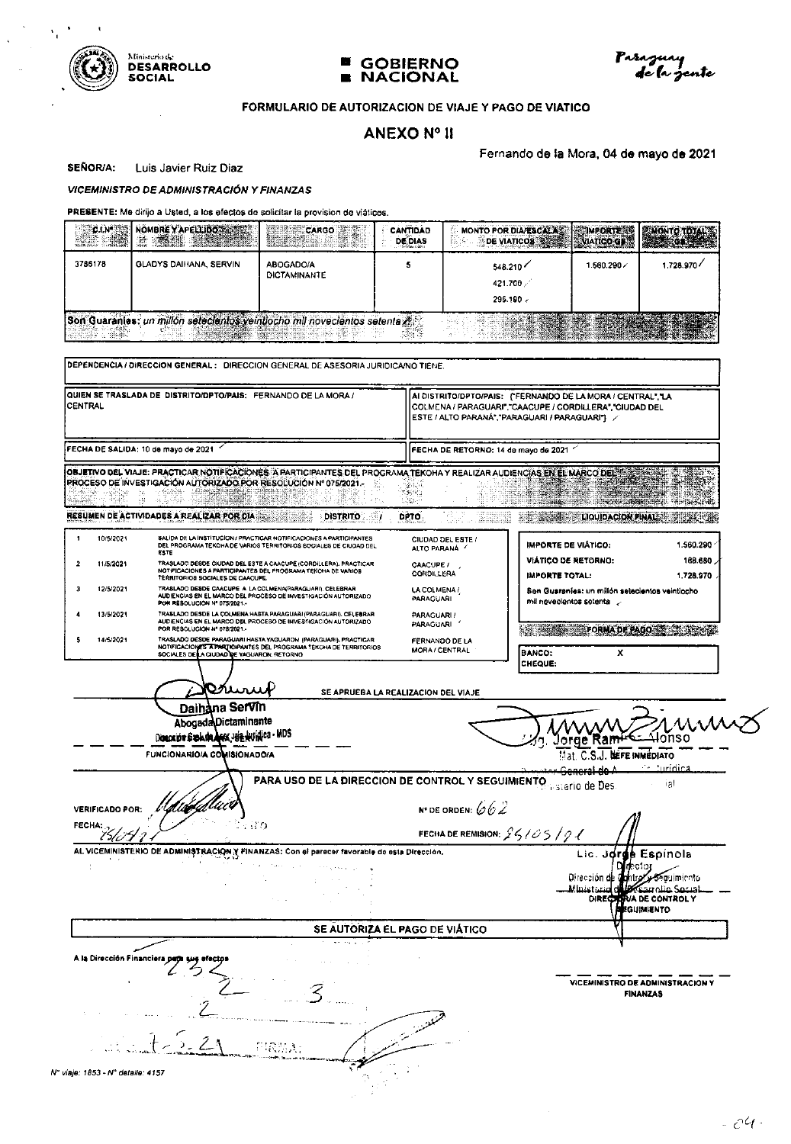

 $\bullet$ 

 $\bar{\mathbf{t}}$ 





#### FORMULARIO DE AUTORIZACION DE VIAJE Y PAGO DE VIATICO

## **ANEXO Nº II**

Fernando de la Mora, 04 de mayo de 2021

**SEÑOR/A:** Luis Javier Ruiz Diaz

 $\bar{z}$ 

#### **VICEMINISTRO DE ADMINISTRACIÓN Y FINANZAS**

| <b>SECTIVAL</b><br><b>ANG</b> | NOMBRE Y APELLIDO SANSO<br><b>TIPS ASSESS</b>                              | $\begin{bmatrix} \text{CARGO} \\ \text{CARGO} \end{bmatrix}$ | CANTIDAD<br><b>DE DIAS</b> | <b>MONTO POR DIA/ESCALAST</b><br>DE VIATICOS ANNO IN VIATICO GENE<br>法诉 | <b>ECIMPORTE BE</b> |            |
|-------------------------------|----------------------------------------------------------------------------|--------------------------------------------------------------|----------------------------|-------------------------------------------------------------------------|---------------------|------------|
| 3786178                       | GLADYS DAIHANA, SERVIN                                                     | ABOCADO/A<br>DICTAMINANTE                                    |                            | 548.210<br>421.700<br>296.190                                           | 1.560.290           | 1.728.970/ |
|                               | Son Guarantes: un millón setecientos veintiocho mil novecientos setenta as |                                                              |                            |                                                                         |                     |            |

| CENTRAL                          | QUIEN SE TRASLADA DE DISTRITO/OPTO/PAIS: FERNANDO DE LA MORA /                                                                                                                                                                                                             | AI DISTRITO/DPTO/PAIS: {'FERNANDO DE LA MORA / CENTRAL', 'LA<br>COLMENA / PARAGUARI", "CAACUPE / CORDILLERA", "CIUDAD DEL<br>ESTE / ALTO PARANA", "PARAGUARI / PARAGUARI" / |                                                                                                                              |  |  |
|----------------------------------|----------------------------------------------------------------------------------------------------------------------------------------------------------------------------------------------------------------------------------------------------------------------------|-----------------------------------------------------------------------------------------------------------------------------------------------------------------------------|------------------------------------------------------------------------------------------------------------------------------|--|--|
|                                  | FECHA DE SALIDA: 10 de mayo de 2021                                                                                                                                                                                                                                        | FECHA DE RETORNO: 14 de mayo de 2021                                                                                                                                        |                                                                                                                              |  |  |
|                                  | OBJETIVO DEL VIAJE: PRACTICAR NOTIFICACIONES A PARTICIPANTES DEL PROGRAMA TEKOHA Y REALIZAR AUDIENCIAS EN EL MARCO DELS<br>PROCESO DE INVESTIGACIÓN AUTORIZADO POR RESOLUCIÓN Nº 075/2021.<br>- ## - # 我把我<br>RESUMEN DE ACTIVIDADES A REALIZAR POR DIA<br><b>DISTRITO</b> | 발표 기<br>ें स<br>LADA -<br><b>DPTO</b>                                                                                                                                       | <b>CONSUMING OF STRAIGHTS</b><br><b>EXECUTE COULDACION FINAL :</b>                                                           |  |  |
| 10/5/2021<br>1                   | SALIDA DE LA INSTITUCION / PRACTICAR NOTIFICACIONES A PARTICIPANTES                                                                                                                                                                                                        | CIUDAD DEL ESTE /                                                                                                                                                           |                                                                                                                              |  |  |
| $\overline{a}$<br>11/5/2021      | DEL PROGRAMA TEKONA DE VARIOS TERRITORIOS SOCIALES DE CIUDAD DEL<br>ESTE<br>TRASLADO DESDE CIUDAD DEL ESTE A CAACUPÉ (CORDILLERA), PRACTICAR<br>NOTIFICACIONES A PARTICIPANTES DEL PROGRAMA TEKOHA DE VARIOS                                                               | ALTO PARANA /<br><b>CAACUPE /</b>                                                                                                                                           | <b>IMPORTE DE VIÁTICO:</b><br>1.560.290<br><b>VIÁTICO DE RETORNO:</b><br>168.680                                             |  |  |
| 3<br>12/5/2021                   | TERRITORIOS SOCIALES DE CAACUPE.<br>TRASLADO DESDE CAACUPE A LA COLMENA(PARAGUARI). CELEBRAR<br>AUDIENCIAS EN EL MARCO DEL PROCESO DE INVESTIGACIÓN AUTORIZADO                                                                                                             | CORDILLERA<br>LA COLMENA /<br>PARAGUARI                                                                                                                                     | IMPORTE TOTAL:<br>1728970<br>Sen Guaraníes: un milión selecientos veínticcho                                                 |  |  |
| 13/5/2021                        | POR RESOLUCION Nº 075/2021.<br>TRASLADO DESDE LA COLMENA HASTA PARAGUARI (PARAGUARI). CELEBRAR<br>AUDIENCIAS EN EL MARCO DEL PROCESO DE INVESTIGACIÓN AUTORIZADO                                                                                                           | PARAGUARI /<br>PARAGUARI '                                                                                                                                                  | mil novecientos setenta y                                                                                                    |  |  |
| 14/5/2021<br>5                   | POR RESOLUCIÓN Nº 078/2021.-<br>TRASLADO DESDE PARAGUARI HASTA YAGUARON (PARAGUARI), PRACTICAR<br>NOTIFICACIONES APARTICIPANTES DEL PROGRAMA TEKOHA DE TERRITORIOS<br>SOCIALES DE LA CIUDAD DE VAGUARON: RETORNO                                                           | FERNANDO DE LA<br><b>MORA / CENTRAL</b>                                                                                                                                     | <b>EXAMPLE PAGE FORMA DE PAGO DE CHARGE</b><br>x<br><b>BANCO:</b>                                                            |  |  |
|                                  |                                                                                                                                                                                                                                                                            |                                                                                                                                                                             | CHEQUE:                                                                                                                      |  |  |
|                                  | Vruni<br>Daihàna Servin<br><b>Abogada</b> Dictaminante<br>Disención Sub de Arx JUE HUINICO - MDS<br><b>FUNCIONARIO/A COMISIONADO/A</b>                                                                                                                                     | SE APRUEBA LA REALIZACION DEL VIAJE                                                                                                                                         | ∆lonso<br><b>NEFE INMEDIATO</b><br>∴ uridica                                                                                 |  |  |
| <b>VERIFICADO POR:</b><br>FECHA: | PARA USO DE LA DIRECCION DE CONTROL Y SEGUIMIENTO<br>∵ HO                                                                                                                                                                                                                  | <b>N° DE ORDEN:</b> $662$                                                                                                                                                   | ial<br>n sterio de Des                                                                                                       |  |  |
|                                  | AL VICEMINISTERIO DE ADMINISTRACION Y FINANZAS: Con el parecer favorable de esta Dirección.                                                                                                                                                                                | FECHA DE REMISION: $25/05/01$                                                                                                                                               |                                                                                                                              |  |  |
|                                  |                                                                                                                                                                                                                                                                            |                                                                                                                                                                             | Lic. Jorge Espínola<br>Oirección de Contro Acouimiento<br>اهتموك مناه تتمكك<br><u>منعی: Minist</u><br>DIRECTIVA DE CONTROL Y |  |  |
|                                  |                                                                                                                                                                                                                                                                            | SE AUTORIZA EL PAGO DE VIÁTICO                                                                                                                                              |                                                                                                                              |  |  |
|                                  |                                                                                                                                                                                                                                                                            |                                                                                                                                                                             |                                                                                                                              |  |  |
|                                  |                                                                                                                                                                                                                                                                            |                                                                                                                                                                             | VICEMINISTRO DE ADMINISTRACION Y<br><b>FINANZAS</b>                                                                          |  |  |
|                                  |                                                                                                                                                                                                                                                                            |                                                                                                                                                                             |                                                                                                                              |  |  |